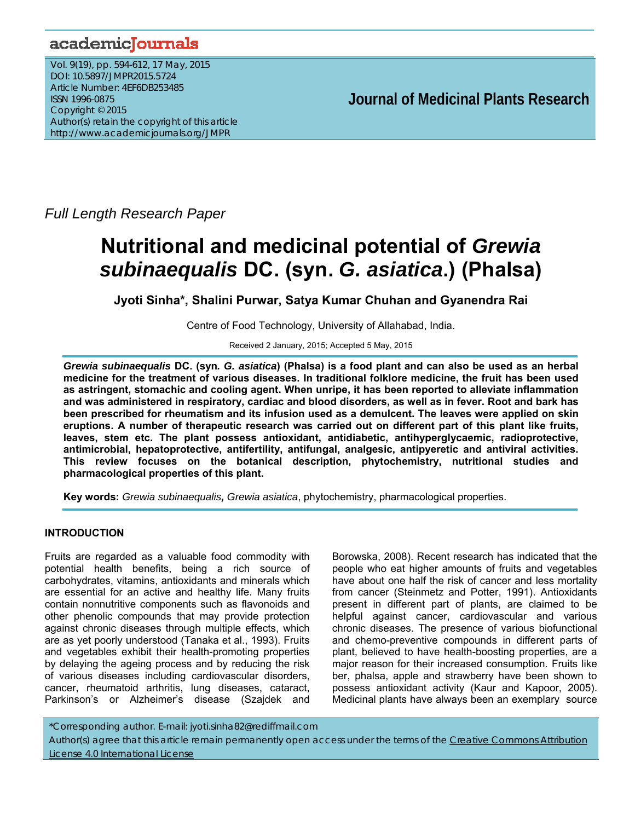# academicJournals

Vol. 9(19), pp. 594-612, 17 May, 2015 DOI: 10.5897/JMPR2015.5724 Article Number: 4EF6DB253485 ISSN 1996-0875 Copyright © 2015 Author(s) retain the copyright of this article http://www.academicjournals.org/JMPR

 **Journal of Medicinal Plants Research** 

*Full Length Research Paper* 

# **Nutritional and medicinal potential of** *Grewia subinaequalis* **DC. (syn.** *G. asiatica***.) (Phalsa)**

**Jyoti Sinha\*, Shalini Purwar, Satya Kumar Chuhan and Gyanendra Rai** 

Centre of Food Technology, University of Allahabad, India.

Received 2 January, 2015; Accepted 5 May, 2015

*Grewia subinaequalis* **DC. (syn***. G. asiatica***) (Phalsa) is a food plant and can also be used as an herbal medicine for the treatment of various diseases. In traditional folklore medicine, the fruit has been used as astringent, stomachic and cooling agent. When unripe, it has been reported to alleviate inflammation and was administered in respiratory, cardiac and blood disorders, as well as in fever. Root and bark has been prescribed for rheumatism and its infusion used as a demulcent. The leaves were applied on skin eruptions. A number of therapeutic research was carried out on different part of this plant like fruits, leaves, stem etc. The plant possess antioxidant, antidiabetic, antihyperglycaemic, radioprotective, antimicrobial, hepatoprotective, antifertility, antifungal, analgesic, antipyeretic and antiviral activities. This review focuses on the botanical description, phytochemistry, nutritional studies and pharmacological properties of this plant.** 

**Key words:** *Grewia subinaequalis, Grewia asiatica*, phytochemistry, pharmacological properties.

# **INTRODUCTION**

Fruits are regarded as a valuable food commodity with potential health benefits, being a rich source of carbohydrates, vitamins, antioxidants and minerals which are essential for an active and healthy life. Many fruits contain nonnutritive components such as flavonoids and other phenolic compounds that may provide protection against chronic diseases through multiple effects, which are as yet poorly understood (Tanaka et al., 1993). Fruits and vegetables exhibit their health-promoting properties by delaying the ageing process and by reducing the risk of various diseases including cardiovascular disorders, cancer, rheumatoid arthritis, lung diseases, cataract, Parkinson's or Alzheimer's disease (Szajdek and

Borowska, 2008). Recent research has indicated that the people who eat higher amounts of fruits and vegetables have about one half the risk of cancer and less mortality from cancer (Steinmetz and Potter, 1991). Antioxidants present in different part of plants, are claimed to be helpful against cancer, cardiovascular and various chronic diseases. The presence of various biofunctional and chemo-preventive compounds in different parts of plant, believed to have health-boosting properties, are a major reason for their increased consumption. Fruits like ber, phalsa, apple and strawberry have been shown to possess antioxidant activity (Kaur and Kapoor, 2005). Medicinal plants have always been an exemplary source

\*Corresponding author. E-mail: jyoti.sinha82@rediffmail.com Author(s) agree that this article remain permanently open access under the terms of the Creative Commons Attribution License 4.0 International License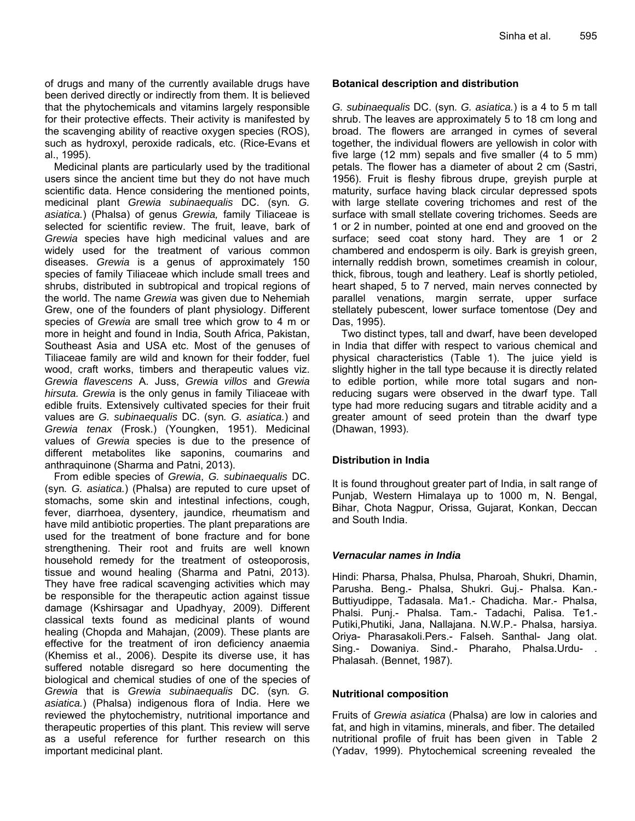of drugs and many of the currently available drugs have been derived directly or indirectly from them. It is believed that the phytochemicals and vitamins largely responsible for their protective effects. Their activity is manifested by the scavenging ability of reactive oxygen species (ROS), such as hydroxyl, peroxide radicals, etc. (Rice-Evans et al., 1995).

Medicinal plants are particularly used by the traditional users since the ancient time but they do not have much scientific data. Hence considering the mentioned points, medicinal plant *Grewia subinaequalis* DC. (syn*. G. asiatica.*) (Phalsa) of genus *Grewia,* family Tiliaceae is selected for scientific review. The fruit, leave, bark of *Grewia* species have high medicinal values and are widely used for the treatment of various common diseases. *Grewia* is a genus of approximately 150 species of family Tiliaceae which include small trees and shrubs, distributed in subtropical and tropical regions of the world. The name *Grewia* was given due to Nehemiah Grew, one of the founders of plant physiology. Different species of *Grewia* are small tree which grow to 4 m or more in height and found in India, South Africa, Pakistan, Southeast Asia and USA etc. Most of the genuses of Tiliaceae family are wild and known for their fodder, fuel wood, craft works, timbers and therapeutic values viz. *Grewia flavescens* A. Juss, *Grewia villos* and *Grewia hirsuta. Grewia* is the only genus in family Tiliaceae with edible fruits. Extensively cultivated species for their fruit values are *G. subinaequalis* DC. (syn*. G. asiatica.*) and *Grewia tenax* (Frosk.) (Youngken, 1951). Medicinal values of *Grewia* species is due to the presence of different metabolites like saponins, coumarins and anthraquinone (Sharma and Patni, 2013).

From edible species of *Grewia*, *G. subinaequalis* DC. (syn*. G. asiatica.*) (Phalsa) are reputed to cure upset of stomachs, some skin and intestinal infections, cough, fever, diarrhoea, dysentery, jaundice, rheumatism and have mild antibiotic properties. The plant preparations are used for the treatment of bone fracture and for bone strengthening. Their root and fruits are well known household remedy for the treatment of osteoporosis, tissue and wound healing (Sharma and Patni, 2013). They have free radical scavenging activities which may be responsible for the therapeutic action against tissue damage (Kshirsagar and Upadhyay, 2009). Different classical texts found as medicinal plants of wound healing (Chopda and Mahajan, (2009). These plants are effective for the treatment of iron deficiency anaemia (Khemiss et al., 2006). Despite its diverse use, it has suffered notable disregard so here documenting the biological and chemical studies of one of the species of *Grewia* that is *Grewia subinaequalis* DC. (syn*. G. asiatica.*) (Phalsa) indigenous flora of India. Here we reviewed the phytochemistry, nutritional importance and therapeutic properties of this plant. This review will serve as a useful reference for further research on this important medicinal plant.

# **Botanical description and distribution**

*G. subinaequalis* DC. (syn*. G. asiatica.*) is a 4 to 5 m tall shrub. The leaves are approximately 5 to 18 cm long and broad. The flowers are arranged in cymes of several together, the individual flowers are yellowish in color with five large (12 mm) sepals and five smaller (4 to 5 mm) petals. The flower has a diameter of about 2 cm (Sastri, 1956). Fruit is fleshy fibrous drupe, greyish purple at maturity, surface having black circular depressed spots with large stellate covering trichomes and rest of the surface with small stellate covering trichomes. Seeds are 1 or 2 in number, pointed at one end and grooved on the surface; seed coat stony hard. They are 1 or 2 chambered and endosperm is oily. Bark is greyish green, internally reddish brown, sometimes creamish in colour, thick, fibrous, tough and leathery. Leaf is shortly petioled, heart shaped, 5 to 7 nerved, main nerves connected by parallel venations, margin serrate, upper surface stellately pubescent, lower surface tomentose (Dey and Das, 1995).

Two distinct types, tall and dwarf, have been developed in India that differ with respect to various chemical and physical characteristics (Table 1). The juice yield is slightly higher in the tall type because it is directly related to edible portion, while more total sugars and nonreducing sugars were observed in the dwarf type. Tall type had more reducing sugars and titrable acidity and a greater amount of seed protein than the dwarf type (Dhawan, 1993).

# **Distribution in India**

It is found throughout greater part of India, in salt range of Punjab, Western Himalaya up to 1000 m, N. Bengal, Bihar, Chota Nagpur, Orissa, Gujarat, Konkan, Deccan and South India.

# *Vernacular names in India*

Hindi: Pharsa, Phalsa, Phulsa, Pharoah, Shukri, Dhamin, Parusha. Beng.- Phalsa, Shukri. Guj.- Phalsa. Kan.- Buttiyudippe, Tadasala. Ma1.- Chadicha. Mar.- Phalsa, Phalsi. Punj.- Phalsa. Tam.- Tadachi, Palisa. Te1.- Putiki,Phutiki, Jana, Nallajana. N.W.P.- Phalsa, harsiya. Oriya- Pharasakoli.Pers.- Falseh. Santhal- Jang olat. Sing.- Dowaniya. Sind.- Pharaho, Phalsa.Urdu- . Phalasah. (Bennet, 1987).

# **Nutritional composition**

Fruits of *Grewia asiatica* (Phalsa) are low in calories and fat, and high in vitamins, minerals, and fiber. The detailed nutritional profile of fruit has been given in Table 2 (Yadav, 1999).Phytochemical screening revealed the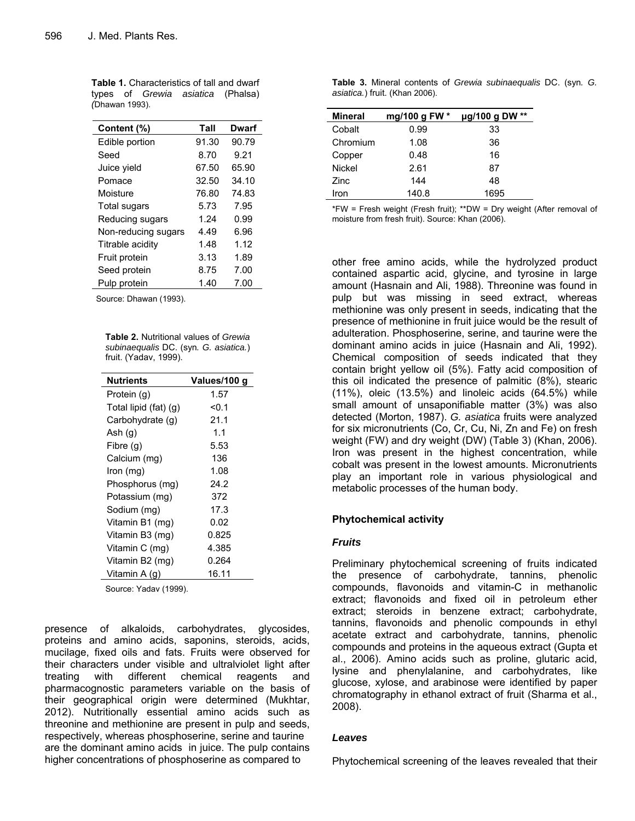**Table 1.** Characteristics of tall and dwarf types of *Grewia asiatica* (Phalsa) *(*Dhawan 1993).

| Content (%)         | Tall  | Dwarf |
|---------------------|-------|-------|
| Edible portion      | 91.30 | 90.79 |
| Seed                | 8.70  | 9.21  |
| Juice yield         | 67.50 | 65.90 |
| Pomace              | 32.50 | 34.10 |
| Moisture            | 76.80 | 74.83 |
| Total sugars        | 5.73  | 7.95  |
| Reducing sugars     | 1.24  | 0.99  |
| Non-reducing sugars | 4.49  | 6.96  |
| Titrable acidity    | 1.48  | 1.12  |
| Fruit protein       | 3.13  | 1.89  |
| Seed protein        | 8.75  | 7.00  |
| Pulp protein        | 1.40  | 7.00  |

Source: Dhawan (1993).

**Table 2.** Nutritional values of *Grewia subinaequalis* DC. (syn*. G. asiatica.*) fruit. (Yadav, 1999).

| <b>Nutrients</b>      | Values/100 g |
|-----------------------|--------------|
| Protein (g)           | 1.57         |
| Total lipid (fat) (g) | < 0.1        |
| Carbohydrate (g)      | 21.1         |
| Ash $(g)$             | 1.1          |
| Fibre (g)             | 5.53         |
| Calcium (mg)          | 136          |
| $lron$ (mg)           | 1.08         |
| Phosphorus (mg)       | 24.2         |
| Potassium (mg)        | 372          |
| Sodium (mg)           | 17.3         |
| Vitamin B1 (mg)       | 0.02         |
| Vitamin B3 (mg)       | 0.825        |
| Vitamin C (mg)        | 4.385        |
| Vitamin B2 (mg)       | 0.264        |
| Vitamin A (g)         | 16.11        |

Source: Yadav (1999).

presence of alkaloids, carbohydrates, glycosides, proteins and amino acids, saponins, steroids, acids, mucilage, fixed oils and fats. Fruits were observed for their characters under visible and ultralviolet light after treating with different chemical reagents and pharmacognostic parameters variable on the basis of their geographical origin were determined (Mukhtar, 2012). Nutritionally essential amino acids such as threonine and methionine are present in pulp and seeds, respectively, whereas phosphoserine, serine and taurine are the dominant amino acids in juice. The pulp contains higher concentrations of phosphoserine as compared to

**Table 3.** Mineral contents of *Grewia subinaequalis* DC. (syn*. G. asiatica.*) fruit. (Khan 2006).

| <b>Mineral</b> | mg/100 g FW * | µg/100 g DW ** |
|----------------|---------------|----------------|
| Cobalt         | 0.99          | 33             |
| Chromium       | 1.08          | 36             |
| Copper         | 0.48          | 16             |
| <b>Nickel</b>  | 2.61          | 87             |
| Zinc           | 144           | 48             |
| Iron           | 140.8         | 1695           |

\*FW = Fresh weight (Fresh fruit); \*\*DW = Dry weight (After removal of moisture from fresh fruit). Source: Khan (2006).

other free amino acids, while the hydrolyzed product contained aspartic acid, glycine, and tyrosine in large amount (Hasnain and Ali, 1988). Threonine was found in pulp but was missing in seed extract, whereas methionine was only present in seeds, indicating that the presence of methionine in fruit juice would be the result of adulteration. Phosphoserine, serine, and taurine were the dominant amino acids in juice (Hasnain and Ali, 1992). Chemical composition of seeds indicated that they contain bright yellow oil (5%). Fatty acid composition of this oil indicated the presence of palmitic (8%), stearic (11%), oleic (13.5%) and linoleic acids (64.5%) while small amount of unsaponifiable matter (3%) was also detected (Morton, 1987). *G. asiatica* fruits were analyzed for six micronutrients (Co, Cr, Cu, Ni, Zn and Fe) on fresh weight (FW) and dry weight (DW) (Table 3) (Khan, 2006). Iron was present in the highest concentration, while cobalt was present in the lowest amounts. Micronutrients play an important role in various physiological and metabolic processes of the human body.

# **Phytochemical activity**

#### *Fruits*

Preliminary phytochemical screening of fruits indicated the presence of carbohydrate, tannins, phenolic compounds, flavonoids and vitamin-C in methanolic extract; flavonoids and fixed oil in petroleum ether extract; steroids in benzene extract; carbohydrate, tannins, flavonoids and phenolic compounds in ethyl acetate extract and carbohydrate, tannins, phenolic compounds and proteins in the aqueous extract (Gupta et al., 2006). Amino acids such as proline, glutaric acid, lysine and phenylalanine, and carbohydrates, like glucose, xylose, and arabinose were identified by paper chromatography in ethanol extract of fruit (Sharma et al., 2008).

#### *Leaves*

Phytochemical screening of the leaves revealed that their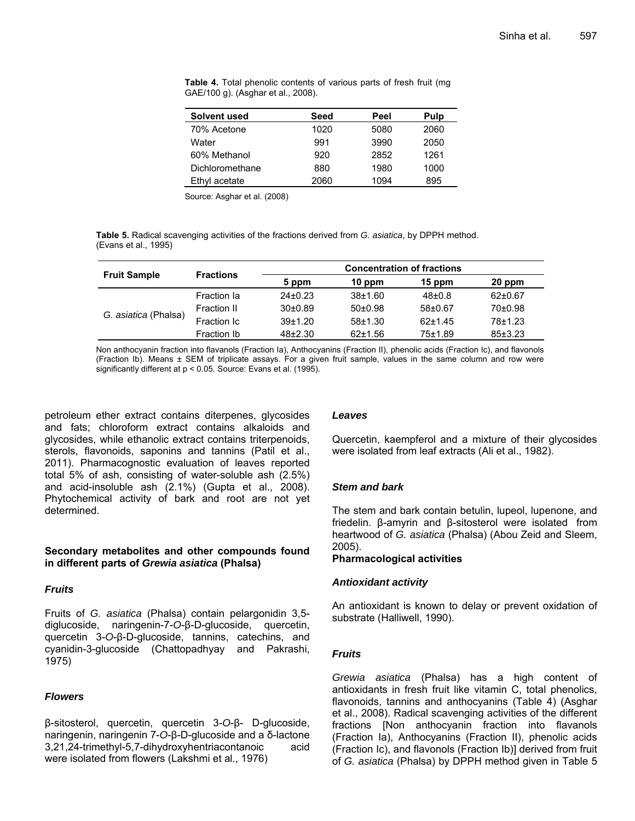| Solvent used    | Seed | Peel | Pulp |
|-----------------|------|------|------|
| 70% Acetone     | 1020 | 5080 | 2060 |
| Water           | 991  | 3990 | 2050 |
| 60% Methanol    | 920  | 2852 | 1261 |
| Dichloromethane | 880  | 1980 | 1000 |
| Ethyl acetate   | 2060 | 1094 | 895  |

**Table 4.** Total phenolic contents of various parts of fresh fruit (mg GAE/100 g). (Asghar et al., 2008).

Source: Asghar et al. (2008)

**Table 5.** Radical scavenging activities of the fractions derived from *G. asiatica*, by DPPH method. (Evans et al., 1995)

|                      |                  | <b>Concentration of fractions</b> |               |            |           |  |
|----------------------|------------------|-----------------------------------|---------------|------------|-----------|--|
| <b>Fruit Sample</b>  | <b>Fractions</b> | 5 ppm                             | 10 ppm        | 15 ppm     | 20 ppm    |  |
| G. asiatica (Phalsa) | Fraction la      | $24\pm0.23$                       | $38 + 1.60$   | $48 + 0.8$ | $62+0.67$ |  |
|                      | Fraction II      | $30+0.89$                         | $50+0.98$     | $58+0.67$  | $70+0.98$ |  |
|                      | Fraction Ic      | 39±1.20                           | $58 + 1.30$   | $62+1.45$  | 78±1.23   |  |
|                      | Fraction Ib      | $48+2.30$                         | $62 \pm 1.56$ | 75±1.89    | 85±3.23   |  |

Non anthocyanin fraction into flavanols (Fraction Ia), Anthocyanins (Fraction II), phenolic acids (Fraction Ic), and flavonols (Fraction Ib). Means ± SEM of triplicate assays. For a given fruit sample, values in the same column and row were significantly different at p < 0.05. Source: Evans et al. (1995).

petroleum ether extract contains diterpenes, glycosides and fats; chloroform extract contains alkaloids and glycosides, while ethanolic extract contains triterpenoids, sterols, flavonoids, saponins and tannins (Patil et al., 2011). Pharmacognostic evaluation of leaves reported total 5% of ash, consisting of water-soluble ash (2.5%) and acid-insoluble ash (2.1%) (Gupta et al., 2008). Phytochemical activity of bark and root are not yet determined.

# **Secondary metabolites and other compounds found in different parts of** *Grewia asiatica* **(Phalsa)**

# *Fruits*

Fruits of *G. asiatica* (Phalsa) contain pelargonidin 3,5 diglucoside, naringenin-7-*O*-β-D-glucoside, quercetin, quercetin 3-*O*-β-D-glucoside, tannins, catechins, and cyanidin-3-glucoside (Chattopadhyay and Pakrashi, 1975)

# *Flowers*

β-sitosterol, quercetin, quercetin 3-*O*-β- D-glucoside, naringenin, naringenin 7-*O*-β-D-glucoside and a δ-lactone 3,21,24-trimethyl-5,7-dihydroxyhentriacontanoic acid were isolated from flowers (Lakshmi et al., 1976)

#### *Leaves*

Quercetin, kaempferol and a mixture of their glycosides were isolated from leaf extracts (Ali et al., 1982).

# *Stem and bark*

The stem and bark contain betulin, lupeol, lupenone, and friedelin. β-amyrin and β-sitosterol were isolated from heartwood of *G. asiatica* (Phalsa) (Abou Zeid and Sleem, 2005).

# **Pharmacological activities**

#### *Antioxidant activity*

An antioxidant is known to delay or prevent oxidation of substrate (Halliwell, 1990).

#### *Fruits*

*Grewia asiatica* (Phalsa) has a high content of antioxidants in fresh fruit like vitamin C, total phenolics, flavonoids, tannins and anthocyanins (Table 4) (Asghar et al., 2008). Radical scavenging activities of the different fractions [Non anthocyanin fraction into flavanols (Fraction Ia), Anthocyanins (Fraction II), phenolic acids (Fraction Ic), and flavonols (Fraction Ib)] derived from fruit of *G. asiatica* (Phalsa) by DPPH method given in Table 5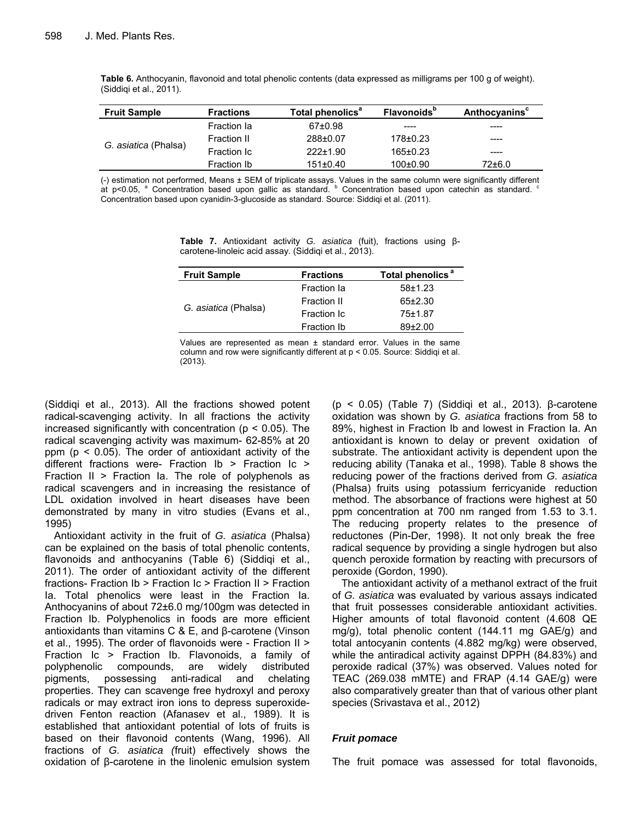**Table 6.** Anthocyanin, flavonoid and total phenolic contents (data expressed as milligrams per 100 g of weight). (Siddiqi et al., 2011).

| <b>Fruit Sample</b>  | <b>Fractions</b> | Total phenolics <sup>a</sup> | <b>Flavonoids</b> <sup>p</sup> | Anthocyanins <sup>c</sup> |
|----------------------|------------------|------------------------------|--------------------------------|---------------------------|
| G. asiatica (Phalsa) | Fraction la      | 67±0.98                      | ----                           | ----                      |
|                      | Fraction II      | 288±0.07                     | 178±0.23                       | ----                      |
|                      | Fraction Ic      | $222 \pm 1.90$               | 165±0.23                       | ----                      |
|                      | Fraction Ib      | $151 \pm 0.40$               | $100+0.90$                     | 72±6.0                    |

(-) estimation not performed, Means ± SEM of triplicate assays. Values in the same column were significantly different<br>at p<0.05, <sup>a</sup> Concentration based upon gallic as standard. <sup>b</sup> Concentration based upon catechin as st Concentration based upon cyanidin-3-glucoside as standard. Source: Siddiqi et al. (2011).

**Table 7.** Antioxidant activity *G. asiatica* (fuit), fractions using βcarotene-linoleic acid assay. (Siddiqi et al., 2013).

| <b>Fruit Sample</b>  | <b>Fractions</b>   | Total phenolics <sup>a</sup> |  |
|----------------------|--------------------|------------------------------|--|
|                      | Fraction la        | $58 + 1.23$                  |  |
|                      | Fraction II        | $65+2.30$                    |  |
| G. asiatica (Phalsa) | Fraction Ic        | $75 + 1.87$                  |  |
|                      | <b>Fraction Ib</b> | $89+2.00$                    |  |
|                      |                    |                              |  |

Values are represented as mean ± standard error. Values in the same column and row were significantly different at p < 0.05. Source: Siddiqi et al. (2013).

(Siddiqi et al., 2013). All the fractions showed potent radical-scavenging activity. In all fractions the activity increased significantly with concentration ( $p < 0.05$ ). The radical scavenging activity was maximum- 62-85% at 20 ppm ( $p < 0.05$ ). The order of antioxidant activity of the different fractions were- Fraction Ib > Fraction Ic > Fraction II > Fraction Ia. The role of polyphenols as radical scavengers and in increasing the resistance of LDL oxidation involved in heart diseases have been demonstrated by many in vitro studies (Evans et al., 1995)

Antioxidant activity in the fruit of *G. asiatica* (Phalsa) can be explained on the basis of total phenolic contents, flavonoids and anthocyanins (Table 6) (Siddiqi et al., 2011). The order of antioxidant activity of the different fractions- Fraction Ib > Fraction Ic > Fraction II > Fraction Ia. Total phenolics were least in the Fraction Ia. Anthocyanins of about 72±6.0 mg/100gm was detected in Fraction Ib. Polyphenolics in foods are more efficient antioxidants than vitamins C & E, and β-carotene (Vinson et al., 1995). The order of flavonoids were - Fraction II > Fraction Ic > Fraction Ib. Flavonoids, a family of polyphenolic compounds, are widely distributed pigments, possessing anti-radical and chelating properties. They can scavenge free hydroxyl and peroxy radicals or may extract iron ions to depress superoxidedriven Fenton reaction (Afanasev et al., 1989). It is established that antioxidant potential of lots of fruits is based on their flavonoid contents (Wang, 1996). All fractions of *G. asiatica (*fruit) effectively shows the oxidation of β-carotene in the linolenic emulsion system

(p < 0.05) (Table 7) (Siddiqi et al., 2013). β-carotene oxidation was shown by *G. asiatica* fractions from 58 to 89%, highest in Fraction Ib and lowest in Fraction Ia. An antioxidant is known to delay or prevent oxidation of substrate. The antioxidant activity is dependent upon the reducing ability (Tanaka et al., 1998). Table 8 shows the reducing power of the fractions derived from *G. asiatica* (Phalsa) fruits using potassium ferricyanide reduction method. The absorbance of fractions were highest at 50 ppm concentration at 700 nm ranged from 1.53 to 3.1. The reducing property relates to the presence of reductones (Pin-Der, 1998). It not only break the free radical sequence by providing a single hydrogen but also quench peroxide formation by reacting with precursors of peroxide (Gordon, 1990).

The antioxidant activity of a methanol extract of the fruit of *G. asiatica* was evaluated by various assays indicated that fruit possesses considerable antioxidant activities. Higher amounts of total flavonoid content (4.608 QE mg/g), total phenolic content (144.11 mg GAE/g) and total antocyanin contents (4.882 mg/kg) were observed, while the antiradical activity against DPPH (84.83%) and peroxide radical (37%) was observed. Values noted for TEAC (269.038 mMTE) and FRAP (4.14 GAE/g) were also comparatively greater than that of various other plant species (Srivastava et al., 2012)

# *Fruit pomace*

The fruit pomace was assessed for total flavonoids,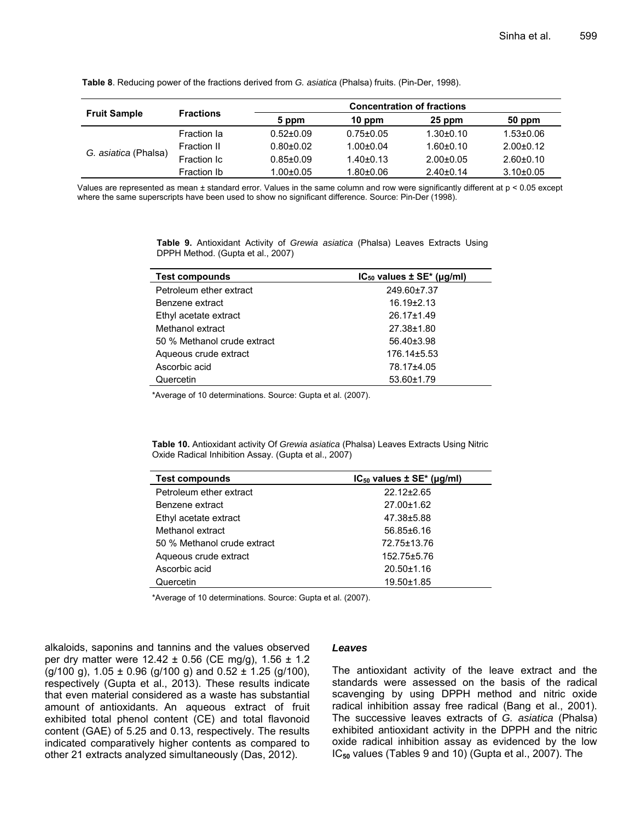|                      |                  | <b>Concentration of fractions</b> |                 |                 |                 |  |  |
|----------------------|------------------|-----------------------------------|-----------------|-----------------|-----------------|--|--|
| <b>Fruit Sample</b>  | <b>Fractions</b> | 5 ppm                             | $10$ ppm        | 25 ppm          | 50 ppm          |  |  |
| G. asiatica (Phalsa) | Fraction la      | $0.52 \pm 0.09$                   | $0.75 \pm 0.05$ | $1.30 \pm 0.10$ | $1.53 \pm 0.06$ |  |  |
|                      | Fraction II      | $0.80 + 0.02$                     | $1.00 + 0.04$   | $1.60 + 0.10$   | $2.00+0.12$     |  |  |
|                      | Fraction Ic      | $0.85 \pm 0.09$                   | $1.40 \pm 0.13$ | $2.00+0.05$     | $2.60+0.10$     |  |  |
|                      | Fraction Ib      | $1.00 + 0.05$                     | $1.80 + 0.06$   | $2.40+0.14$     | $3.10\pm0.05$   |  |  |

**Table 8**. Reducing power of the fractions derived from *G. asiatica* (Phalsa) fruits. (Pin-Der, 1998).

Values are represented as mean ± standard error. Values in the same column and row were significantly different at p < 0.05 except where the same superscripts have been used to show no significant difference. Source: Pin-Der (1998).

> **Table 9.** Antioxidant Activity of *Grewia asiatica* (Phalsa) Leaves Extracts Using DPPH Method. (Gupta et al., 2007)

| <b>Test compounds</b>       | $IC_{50}$ values $\pm$ SE <sup>*</sup> (µg/ml) |
|-----------------------------|------------------------------------------------|
| Petroleum ether extract     | 249.60±7.37                                    |
| Benzene extract             | $16.19{\pm}2.13$                               |
| Ethyl acetate extract       | $26.17 \pm 1.49$                               |
| Methanol extract            | 27.38±1.80                                     |
| 50 % Methanol crude extract | 56.40±3.98                                     |
| Aqueous crude extract       | $176.14\pm5.53$                                |
| Ascorbic acid               | 78.17±4.05                                     |
| Quercetin                   | 53.60±1.79                                     |

\*Average of 10 determinations. Source: Gupta et al. (2007).

**Table 10.** Antioxidant activity Of *Grewia asiatica* (Phalsa) Leaves Extracts Using Nitric Oxide Radical Inhibition Assay. (Gupta et al., 2007)

| <b>Test compounds</b>       | $IC_{50}$ values $\pm$ SE <sup>*</sup> ( $\mu$ g/ml) |
|-----------------------------|------------------------------------------------------|
| Petroleum ether extract     | 22.12±2.65                                           |
| Benzene extract             | $27.00 \pm 1.62$                                     |
| Ethyl acetate extract       | 47.38±5.88                                           |
| Methanol extract            | $56.85 \pm 6.16$                                     |
| 50 % Methanol crude extract | 72.75±13.76                                          |
| Aqueous crude extract       | 152.75±5.76                                          |
| Ascorbic acid               | $20.50 \pm 1.16$                                     |
| Quercetin                   | 19.50±1.85                                           |

\*Average of 10 determinations. Source: Gupta et al. (2007).

alkaloids, saponins and tannins and the values observed per dry matter were  $12.42 \pm 0.56$  (CE mg/g),  $1.56 \pm 1.2$  $(g/100 g)$ , 1.05 ± 0.96  $(g/100 g)$  and 0.52 ± 1.25  $(g/100)$ , respectively (Gupta et al., 2013). These results indicate that even material considered as a waste has substantial amount of antioxidants. An aqueous extract of fruit exhibited total phenol content (CE) and total flavonoid content (GAE) of 5.25 and 0.13, respectively. The results indicated comparatively higher contents as compared to other 21 extracts analyzed simultaneously (Das, 2012).

#### *Leaves*

The antioxidant activity of the leave extract and the standards were assessed on the basis of the radical scavenging by using DPPH method and nitric oxide radical inhibition assay free radical (Bang et al., 2001). The successive leaves extracts of *G. asiatica* (Phalsa) exhibited antioxidant activity in the DPPH and the nitric oxide radical inhibition assay as evidenced by the low IC**50** values (Tables 9 and 10) (Gupta et al., 2007). The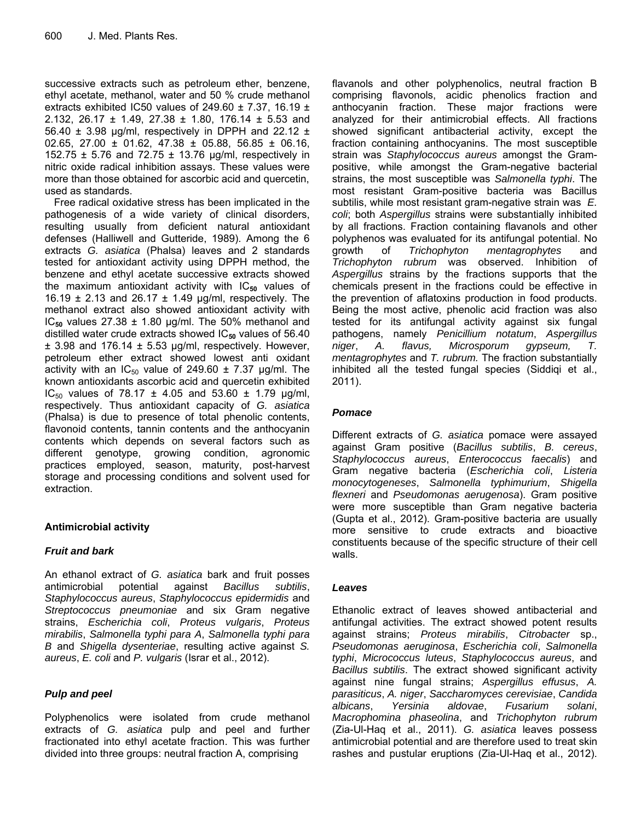successive extracts such as petroleum ether, benzene, ethyl acetate, methanol, water and 50 % crude methanol extracts exhibited IC50 values of 249.60  $\pm$  7.37, 16.19  $\pm$ 2.132, 26.17 ± 1.49, 27.38 ± 1.80, 176.14 ± 5.53 and 56.40  $\pm$  3.98 µg/ml, respectively in DPPH and 22.12  $\pm$ 02.65, 27.00  $\pm$  01.62, 47.38  $\pm$  05.88, 56.85  $\pm$  06.16, 152.75 ± 5.76 and 72.75 ± 13.76 μg/ml, respectively in nitric oxide radical inhibition assays. These values were more than those obtained for ascorbic acid and quercetin, used as standards.

Free radical oxidative stress has been implicated in the pathogenesis of a wide variety of clinical disorders, resulting usually from deficient natural antioxidant defenses (Halliwell and Gutteride, 1989). Among the 6 extracts *G. asiatica* (Phalsa) leaves and 2 standards tested for antioxidant activity using DPPH method, the benzene and ethyl acetate successive extracts showed the maximum antioxidant activity with IC<sub>50</sub> values of 16.19  $\pm$  2.13 and 26.17  $\pm$  1.49 µg/ml, respectively. The methanol extract also showed antioxidant activity with IC<sub>50</sub> values  $27.38 \pm 1.80$  µg/ml. The 50% methanol and distilled water crude extracts showed IC<sub>50</sub> values of 56.40  $\pm$  3.98 and 176.14  $\pm$  5.53 µg/ml, respectively. However, petroleum ether extract showed lowest anti oxidant activity with an  $IC_{50}$  value of 249.60  $\pm$  7.37 µg/ml. The known antioxidants ascorbic acid and quercetin exhibited IC<sub>50</sub> values of 78.17  $±$  4.05 and 53.60  $±$  1.79 μg/ml, respectively. Thus antioxidant capacity of *G. asiatica* (Phalsa) is due to presence of total phenolic contents, flavonoid contents, tannin contents and the anthocyanin contents which depends on several factors such as different genotype, growing condition, agronomic practices employed, season, maturity, post-harvest storage and processing conditions and solvent used for extraction.

# **Antimicrobial activity**

# *Fruit and bark*

An ethanol extract of *G. asiatica* bark and fruit posses antimicrobial potential against *Bacillus subtilis*, *Staphylococcus aureus*, *Staphylococcus epidermidis* and *Streptococcus pneumoniae* and six Gram negative strains, *Escherichia coli*, *Proteus vulgaris*, *Proteus mirabilis*, *Salmonella typhi para A*, *Salmonella typhi para B* and *Shigella dysenteriae*, resulting active against *S. aureus*, *E. coli* and *P. vulgaris* (Israr et al., 2012).

# *Pulp and peel*

Polyphenolics were isolated from crude methanol extracts of *G. asiatica* pulp and peel and further fractionated into ethyl acetate fraction. This was further divided into three groups: neutral fraction A, comprising

flavanols and other polyphenolics, neutral fraction B comprising flavonols, acidic phenolics fraction and anthocyanin fraction. These major fractions were analyzed for their antimicrobial effects. All fractions showed significant antibacterial activity, except the fraction containing anthocyanins. The most susceptible strain was *Staphylococcus aureus* amongst the Grampositive, while amongst the Gram-negative bacterial strains, the most susceptible was *Salmonella typhi*. The most resistant Gram-positive bacteria was Bacillus subtilis, while most resistant gram-negative strain was *E. coli*; both *Aspergillus* strains were substantially inhibited by all fractions. Fraction containing flavanols and other polyphenos was evaluated for its antifungal potential. No growth of *Trichophyton mentagrophytes* and *Trichophyton rubrum* was observed. Inhibition of *Aspergillus* strains by the fractions supports that the chemicals present in the fractions could be effective in the prevention of aflatoxins production in food products. Being the most active, phenolic acid fraction was also tested for its antifungal activity against six fungal pathogens, namely *Penicillium notatum*, *Aspergillus niger*, *A. flavus, Microsporum gypseum, T. mentagrophytes* and *T. rubrum.* The fraction substantially inhibited all the tested fungal species (Siddiqi et al., 2011).

# *Pomace*

Different extracts of *G. asiatica* pomace were assayed against Gram positive (*Bacillus subtilis*, *B. cereus*, *Staphylococcus aureus*, *Enterococcus faecalis*) and Gram negative bacteria (*Escherichia coli*, *Listeria monocytogeneses*, *Salmonella typhimurium*, *Shigella flexneri* and *Pseudomonas aerugenosa*). Gram positive were more susceptible than Gram negative bacteria (Gupta et al., 2012). Gram-positive bacteria are usually more sensitive to crude extracts and bioactive constituents because of the specific structure of their cell walls.

# *Leaves*

Ethanolic extract of leaves showed antibacterial and antifungal activities. The extract showed potent results against strains; *Proteus mirabilis*, *Citrobacter* sp., *Pseudomonas aeruginosa*, *Escherichia coli*, *Salmonella typhi*, *Micrococcus luteus*, *Staphylococcus aureus*, and *Bacillus subtilis*. The extract showed significant activity against nine fungal strains; *Aspergillus effusus*, *A. parasiticus*, *A. niger*, *Saccharomyces cerevisiae*, *Candida albicans*, *Yersinia aldovae*, *Fusarium solani*, *Macrophomina phaseolina*, and *Trichophyton rubrum* (Zia-Ul-Haq et al., 2011). *G. asiatica* leaves possess antimicrobial potential and are therefore used to treat skin rashes and pustular eruptions (Zia-Ul-Haq et al., 2012).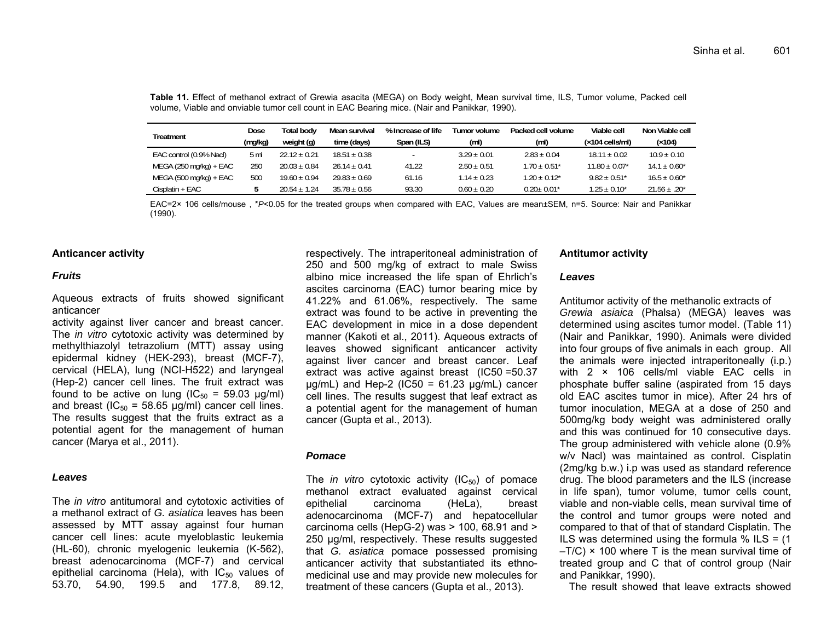| Treatment                | Dose    | Total bodv       | Mean survival    | % Increase of life | Tumor volume    | Packed cell volume | Viable cell                   | Non Viable cell   |
|--------------------------|---------|------------------|------------------|--------------------|-----------------|--------------------|-------------------------------|-------------------|
|                          | (mq/kg) | weight (g)       | time (days)      | Span (ILS)         | (ml)            | (m <sub>l</sub> )  | (×104 cells/ml)               | (x104)            |
| EAC control (0.9% Nacl)  | 5 ml    | $22.12 + 0.21$   | $18.51 \pm 0.38$ |                    | $3.29 + 0.01$   | $2.83 + 0.04$      | $18.11 \pm 0.02$              | $10.9 + 0.10$     |
| $MEGA (250 mg/kg) + EAC$ | 250     | $20.03 \pm 0.84$ | $26.14 + 0.41$   | 41.22              | $2.50 \pm 0.51$ | $1.70 + 0.51*$     | $11.80 \pm 0.07$ <sup>*</sup> | $14.1 \pm 0.60^*$ |
| $MEGA (500 mg/kg) + EAC$ | 500     | $19.60 + 0.94$   | $29.83 + 0.69$   | 61.16              | $1.14 + 0.23$   | $1.20 + 0.12^*$    | $9.82 + 0.51$ *               | $16.5 + 0.60^*$   |
| Cisplatin + EAC          |         | $20.54 + 1.24$   | $35.78 + 0.56$   | 93.30              | $0.60 \pm 0.20$ | $0.20 + 0.01*$     | $1.25\pm0.10^{\star}$         | $21.56 \pm .20^*$ |

**Table 11.** Effect of methanol extract of Grewia asacita (MEGA) on Body weight, Mean survival time, ILS, Tumor volume, Packed cell volume, Viable and onviable tumor cell count in EAC Bearing mice. (Nair and Panikkar, 1990).

EAC=2× 106 cells/mouse , \* *P*<0.05 for the treated groups when compared with EAC, Values are mean±SEM, n=5. Source: Nair and Panikkar (1990).

#### **Anticancer activity**

#### *Fruits*

Aqueous extracts of fruits showed significant anticancer

activity against liver cancer and breast cancer. The *in vitro* cytotoxic activity was determined by methylthiazolyl tetrazolium (MTT) assay using epidermal kidney (HEK-293), breast (MCF-7), cervical (HELA), lung (NCI-H522) and laryngeal (Hep-2) cancer cell lines. The fruit extract was found to be active on lung  $(IC_{50} = 59.03 \text{ µg/ml})$ and breast ( $IC_{50}$  = 58.65 µg/ml) cancer cell lines. The results suggest that the fruits extract as a potential agent for the management of human cancer (Marya et al., 2011).

#### *Leaves*

The *in vitro* antitumoral and cytotoxic activities of a methanol extract of *G. asiatica* leaves has been assessed by MTT assay against four human cancer cell lines: acute myeloblastic leukemia (HL-60), chronic myelogenic leukemia (K-562), breast adenocarcinoma (MCF-7) and cervical epithelial carcinoma (Hela), with  $IC_{50}$  values of 53.70, 54.90, 199.5 and 177.8, 89.12,

respectively. The intraperitoneal administration of 250 and 500 mg/kg of extract to male Swiss albino mice increased the life span of Ehrlich's ascites carcinoma (EAC) tumor bearing mice by 41.22% and 61.06%, respectively. The same extract was found to be active in preventing the EAC development in mice in a dose dependent manner (Kakoti et al., 2011). Aqueous extracts of leaves showed significant anticancer activity against liver cancer and breast cancer. Leaf extract was active against breast (IC50 =50.37  $\mu$ g/mL) and Hep-2 (IC50 = 61.23  $\mu$ g/mL) cancer cell lines. The results suggest that leaf extract as a potential agent for the management of human cancer (Gupta et al., 2013).

#### *Pomace*

The *in vitro* cytotoxic activity  $(IC_{50})$  of pomace methanol extract evaluated against cervical epithelial carcinoma (HeLa), breast adenocarcinoma (MCF-7) and hepatocellular carcinoma cells (HepG-2) was > 100, 68.91 and > 250 µg/ml, respectively. These results suggested that *G. asiatica* pomace possessed promising anticancer activity that substantiated its ethnomedicinal use and may provide new molecules for treatment of these cancers (Gupta et al., 2013).

#### **Antitumor activity**

#### *Leaves*

Antitumor activity of the methanolic extracts of *Grewia asiaica* (Phalsa) (MEGA) leaves was determined using ascites tumor model. (Table 11) (Nair and Panikkar, 1990). Animals were divided into four groups of five animals in each group. All the animals were injected intraperitoneally (i.p.) with 2 × 106 cells/ml viable EAC cells in phosphate buffer saline (aspirated from 15 days old EAC ascites tumor in mice). After 24 hrs of tumor inoculation, MEGA at a dose of 250 and 500mg/kg body weight was administered orally and this was continued for 10 consecutive days. The group administered with vehicle alone (0.9% w/v Nacl) was maintained as control. Cisplatin (2mg/kg b.w.) i.p was used as standard reference drug. The blood parameters and the ILS (increase in life span), tumor volume, tumor cells count, viable and non-viable cells, mean survival time of the control and tumor groups were noted and compared to that of that of standard Cisplatin. The ILS was determined using the formula  $%$  ILS = (1)  $-T/C$ )  $\times$  100 where T is the mean survival time of treated group and C that of control group (Nair and Panikkar, 1990).

The result showed that leave extracts showed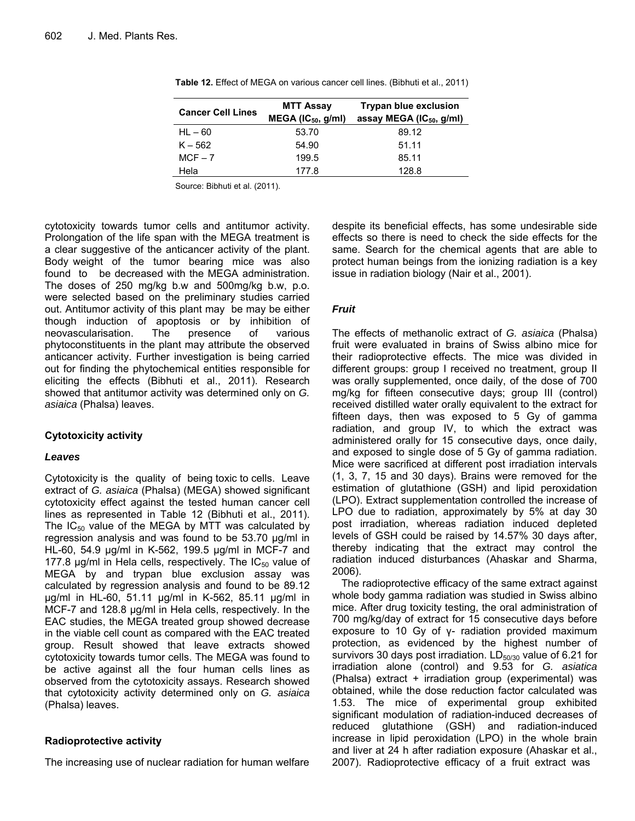| <b>Cancer Cell Lines</b> | <b>MTT Assay</b>         | <b>Trypan blue exclusion</b>         |  |  |
|--------------------------|--------------------------|--------------------------------------|--|--|
|                          | MEGA ( $IC_{50}$ , g/ml) | assay MEGA (IC <sub>50</sub> , g/ml) |  |  |
| $HL - 60$                | 53.70                    | 89.12                                |  |  |
| $K - 562$                | 54.90                    | 51.11                                |  |  |
| $MCF - 7$                | 199.5                    | 85.11                                |  |  |
| Hela                     | 177.8                    | 128.8                                |  |  |

**Table 12.** Effect of MEGA on various cancer cell lines. (Bibhuti et al., 2011)

Source: Bibhuti et al. (2011).

cytotoxicity towards tumor cells and antitumor activity. Prolongation of the life span with the MEGA treatment is a clear suggestive of the anticancer activity of the plant. Body weight of the tumor bearing mice was also found to be decreased with the MEGA administration. The doses of 250 mg/kg b.w and 500mg/kg b.w, p.o. were selected based on the preliminary studies carried out. Antitumor activity of this plant may be may be either though induction of apoptosis or by inhibition of neovascularisation. The presence of various phytoconstituents in the plant may attribute the observed anticancer activity. Further investigation is being carried out for finding the phytochemical entities responsible for eliciting the effects (Bibhuti et al., 2011). Research showed that antitumor activity was determined only on *G. asiaica* (Phalsa) leaves.

# **Cytotoxicity activity**

# *Leaves*

Cytotoxicity is the quality of being toxic to cells. Leave extract of *G. asiaica* (Phalsa) (MEGA) showed significant cytotoxicity effect against the tested human cancer cell lines as represented in Table 12 (Bibhuti et al., 2011). The  $IC_{50}$  value of the MEGA by MTT was calculated by regression analysis and was found to be 53.70 μg/ml in HL-60, 54.9 μg/ml in K-562, 199.5 μg/ml in MCF-7 and 177.8  $\mu$ g/ml in Hela cells, respectively. The IC<sub>50</sub> value of MEGA by and trypan blue exclusion assay was calculated by regression analysis and found to be 89.12 μg/ml in HL-60, 51.11 μg/ml in K-562, 85.11 μg/ml in MCF-7 and 128.8 μg/ml in Hela cells, respectively. In the EAC studies, the MEGA treated group showed decrease in the viable cell count as compared with the EAC treated group. Result showed that leave extracts showed cytotoxicity towards tumor cells. The MEGA was found to be active against all the four human cells lines as observed from the cytotoxicity assays. Research showed that cytotoxicity activity determined only on *G. asiaica* (Phalsa) leaves.

# **Radioprotective activity**

The increasing use of nuclear radiation for human welfare

despite its beneficial effects, has some undesirable side effects so there is need to check the side effects for the same. Search for the chemical agents that are able to protect human beings from the ionizing radiation is a key issue in radiation biology (Nair et al., 2001).

# *Fruit*

The effects of methanolic extract of *G. asiaica* (Phalsa) fruit were evaluated in brains of Swiss albino mice for their radioprotective effects. The mice was divided in different groups: group I received no treatment, group II was orally supplemented, once daily, of the dose of 700 mg/kg for fifteen consecutive days; group III (control) received distilled water orally equivalent to the extract for fifteen days, then was exposed to 5 Gy of gamma radiation, and group IV, to which the extract was administered orally for 15 consecutive days, once daily, and exposed to single dose of 5 Gy of gamma radiation. Mice were sacrificed at different post irradiation intervals (1, 3, 7, 15 and 30 days). Brains were removed for the estimation of glutathione (GSH) and lipid peroxidation (LPO). Extract supplementation controlled the increase of LPO due to radiation, approximately by 5% at day 30 post irradiation, whereas radiation induced depleted levels of GSH could be raised by 14.57% 30 days after, thereby indicating that the extract may control the radiation induced disturbances (Ahaskar and Sharma, 2006).

The radioprotective efficacy of the same extract against whole body gamma radiation was studied in Swiss albino mice. After drug toxicity testing, the oral administration of 700 mg/kg/day of extract for 15 consecutive days before exposure to 10 Gy of γ- radiation provided maximum protection, as evidenced by the highest number of survivors 30 days post irradiation.  $LD_{50/30}$  value of 6.21 for irradiation alone (control) and 9.53 for *G. asiatica*  (Phalsa) extract + irradiation group (experimental) was obtained, while the dose reduction factor calculated was 1.53. The mice of experimental group exhibited significant modulation of radiation-induced decreases of reduced glutathione (GSH) and radiation-induced increase in lipid peroxidation (LPO) in the whole brain and liver at 24 h after radiation exposure (Ahaskar et al., 2007). Radioprotective efficacy of a fruit extract was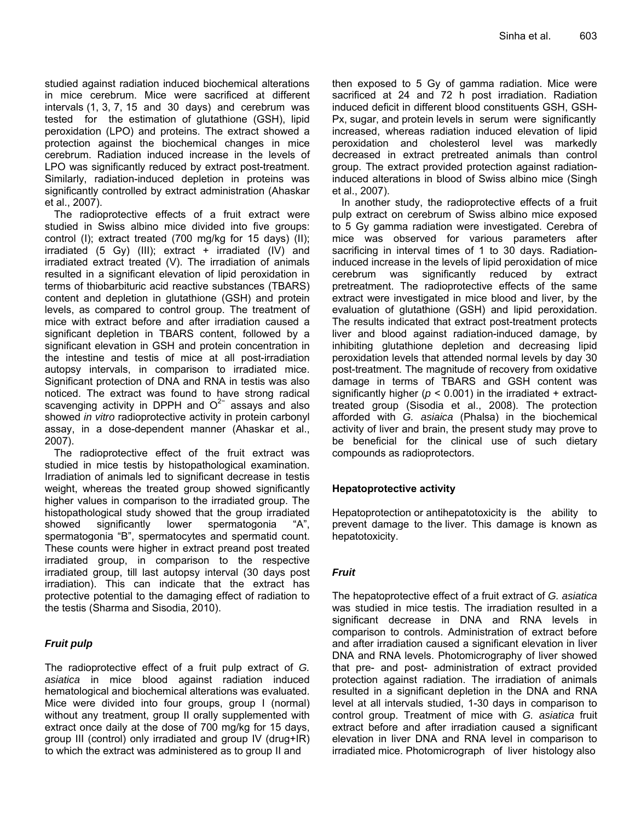studied against radiation induced biochemical alterations in mice cerebrum. Mice were sacrificed at different intervals (1, 3, 7, 15 and 30 days) and cerebrum was tested for the estimation of glutathione (GSH), lipid peroxidation (LPO) and proteins. The extract showed a protection against the biochemical changes in mice cerebrum. Radiation induced increase in the levels of LPO was significantly reduced by extract post-treatment. Similarly, radiation-induced depletion in proteins was significantly controlled by extract administration (Ahaskar et al., 2007).

The radioprotective effects of a fruit extract were studied in Swiss albino mice divided into five groups: control (I); extract treated (700 mg/kg for 15 days) (II); irradiated  $(5 \text{ Gy})$  (III); extract + irradiated  $(IV)$  and irradiated extract treated (V). The irradiation of animals resulted in a significant elevation of lipid peroxidation in terms of thiobarbituric acid reactive substances (TBARS) content and depletion in glutathione (GSH) and protein levels, as compared to control group. The treatment of mice with extract before and after irradiation caused a significant depletion in TBARS content, followed by a significant elevation in GSH and protein concentration in the intestine and testis of mice at all post-irradiation autopsy intervals, in comparison to irradiated mice. Significant protection of DNA and RNA in testis was also noticed. The extract was found to have strong radical scavenging activity in DPPH and  $O<sup>2−</sup>$  assays and also showed *in vitro* radioprotective activity in protein carbonyl assay, in a dose-dependent manner (Ahaskar et al., 2007).

The radioprotective effect of the fruit extract was studied in mice testis by histopathological examination. Irradiation of animals led to significant decrease in testis weight, whereas the treated group showed significantly higher values in comparison to the irradiated group. The histopathological study showed that the group irradiated showed significantly lower spermatogonia "A", spermatogonia "B", spermatocytes and spermatid count. These counts were higher in extract preand post treated irradiated group, in comparison to the respective irradiated group, till last autopsy interval (30 days post irradiation). This can indicate that the extract has protective potential to the damaging effect of radiation to the testis (Sharma and Sisodia, 2010).

# *Fruit pulp*

The radioprotective effect of a fruit pulp extract of *G. asiatica* in mice blood against radiation induced hematological and biochemical alterations was evaluated. Mice were divided into four groups, group I (normal) without any treatment, group II orally supplemented with extract once daily at the dose of 700 mg/kg for 15 days, group III (control) only irradiated and group IV (drug+IR) to which the extract was administered as to group II and

then exposed to 5 Gy of gamma radiation. Mice were sacrificed at 24 and 72 h post irradiation. Radiation induced deficit in different blood constituents GSH, GSH-Px, sugar, and protein levels in serum were significantly increased, whereas radiation induced elevation of lipid peroxidation and cholesterol level was markedly decreased in extract pretreated animals than control group. The extract provided protection against radiationinduced alterations in blood of Swiss albino mice (Singh et al., 2007).

In another study, the radioprotective effects of a fruit pulp extract on cerebrum of Swiss albino mice exposed to 5 Gy gamma radiation were investigated. Cerebra of mice was observed for various parameters after sacrificing in interval times of 1 to 30 days. Radiationinduced increase in the levels of lipid peroxidation of mice cerebrum was significantly reduced by extract pretreatment. The radioprotective effects of the same extract were investigated in mice blood and liver, by the evaluation of glutathione (GSH) and lipid peroxidation. The results indicated that extract post-treatment protects liver and blood against radiation-induced damage, by inhibiting glutathione depletion and decreasing lipid peroxidation levels that attended normal levels by day 30 post-treatment. The magnitude of recovery from oxidative damage in terms of TBARS and GSH content was significantly higher ( $p < 0.001$ ) in the irradiated + extracttreated group (Sisodia et al., 2008). The protection afforded with *G. asiaica* (Phalsa) in the biochemical activity of liver and brain, the present study may prove to be beneficial for the clinical use of such dietary compounds as radioprotectors.

# **Hepatoprotective activity**

Hepatoprotection or antihepatotoxicity is the ability to prevent damage to the liver. This damage is known as hepatotoxicity.

# *Fruit*

The hepatoprotective effect of a fruit extract of *G. asiatica*  was studied in mice testis. The irradiation resulted in a significant decrease in DNA and RNA levels in comparison to controls. Administration of extract before and after irradiation caused a significant elevation in liver DNA and RNA levels. Photomicrography of liver showed that pre- and post- administration of extract provided protection against radiation. The irradiation of animals resulted in a significant depletion in the DNA and RNA level at all intervals studied, 1-30 days in comparison to control group. Treatment of mice with *G. asiatica* fruit extract before and after irradiation caused a significant elevation in liver DNA and RNA level in comparison to irradiated mice. Photomicrograph of liver histology also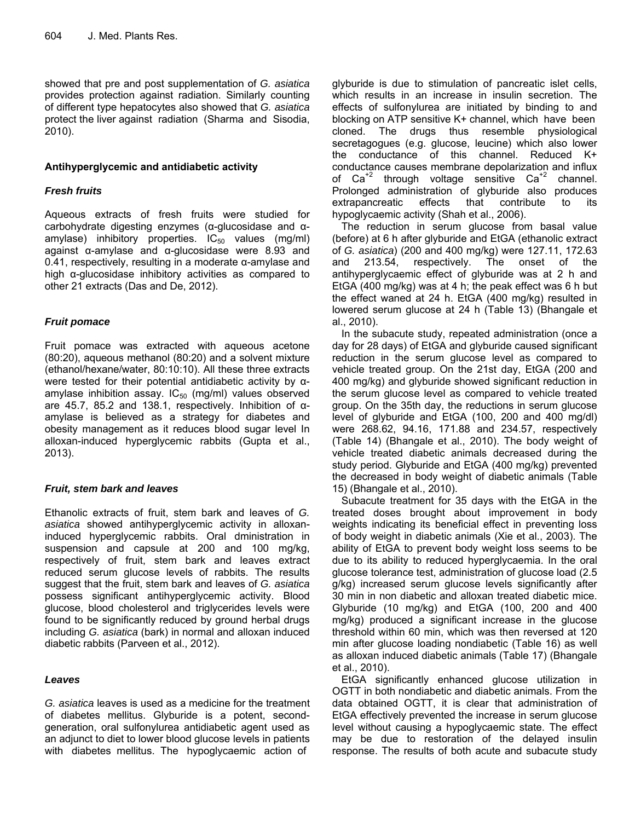showed that pre and post supplementation of *G. asiatica*  provides protection against radiation. Similarly counting of different type hepatocytes also showed that *G. asiatica* protect the liver against radiation (Sharma and Sisodia, 2010).

# **Antihyperglycemic and antidiabetic activity**

# *Fresh fruits*

Aqueous extracts of fresh fruits were studied for carbohydrate digesting enzymes (α-glucosidase and αamylase) inhibitory properties.  $IC_{50}$  values (mg/ml) against α-amylase and α-glucosidase were 8.93 and 0.41, respectively, resulting in a moderate  $\alpha$ -amylase and high α-glucosidase inhibitory activities as compared to other 21 extracts (Das and De, 2012).

# *Fruit pomace*

Fruit pomace was extracted with aqueous acetone (80:20), aqueous methanol (80:20) and a solvent mixture (ethanol/hexane/water, 80:10:10). All these three extracts were tested for their potential antidiabetic activity by αamylase inhibition assay.  $IC_{50}$  (mg/ml) values observed are 45.7, 85.2 and 138.1, respectively. Inhibition of αamylase is believed as a strategy for diabetes and obesity management as it reduces blood sugar level In alloxan-induced hyperglycemic rabbits (Gupta et al., 2013).

# *Fruit, stem bark and leaves*

Ethanolic extracts of fruit, stem bark and leaves of *G. asiatica* showed antihyperglycemic activity in alloxaninduced hyperglycemic rabbits. Oral dministration in suspension and capsule at 200 and 100 mg/kg, respectively of fruit, stem bark and leaves extract reduced serum glucose levels of rabbits. The results suggest that the fruit, stem bark and leaves of *G. asiatica*  possess significant antihyperglycemic activity. Blood glucose, blood cholesterol and triglycerides levels were found to be significantly reduced by ground herbal drugs including *G. asiatica* (bark) in normal and alloxan induced diabetic rabbits (Parveen et al., 2012).

# *Leaves*

*G. asiatica* leaves is used as a medicine for the treatment of diabetes mellitus. Glyburide is a potent, secondgeneration, oral sulfonylurea antidiabetic agent used as an adjunct to diet to lower blood glucose levels in patients with diabetes mellitus. The hypoglycaemic action of

glyburide is due to stimulation of pancreatic islet cells, which results in an increase in insulin secretion. The effects of sulfonylurea are initiated by binding to and blocking on ATP sensitive K+ channel, which have been cloned. The drugs thus resemble physiological secretagogues (e.g. glucose, leucine) which also lower the conductance of this channel. Reduced K+ conductance causes membrane depolarization and influx of  $Ca^{2}$  through voltage sensitive  $Ca^{2}$  channel. Prolonged administration of glyburide also produces extrapancreatic effects that contribute to its hypoglycaemic activity (Shah et al., 2006).

The reduction in serum glucose from basal value (before) at 6 h after glyburide and EtGA (ethanolic extract of *G. asiatica*) (200 and 400 mg/kg) were 127.11, 172.63 and 213.54, respectively. The onset of the antihyperglycaemic effect of glyburide was at 2 h and EtGA (400 mg/kg) was at 4 h; the peak effect was 6 h but the effect waned at 24 h. EtGA (400 mg/kg) resulted in lowered serum glucose at 24 h (Table 13) (Bhangale et al., 2010).

In the subacute study, repeated administration (once a day for 28 days) of EtGA and glyburide caused significant reduction in the serum glucose level as compared to vehicle treated group. On the 21st day, EtGA (200 and 400 mg/kg) and glyburide showed significant reduction in the serum glucose level as compared to vehicle treated group. On the 35th day, the reductions in serum glucose level of glyburide and EtGA (100, 200 and 400 mg/dl) were 268.62, 94.16, 171.88 and 234.57, respectively (Table 14) (Bhangale et al., 2010). The body weight of vehicle treated diabetic animals decreased during the study period. Glyburide and EtGA (400 mg/kg) prevented the decreased in body weight of diabetic animals (Table 15) (Bhangale et al., 2010).

Subacute treatment for 35 days with the EtGA in the treated doses brought about improvement in body weights indicating its beneficial effect in preventing loss of body weight in diabetic animals (Xie et al., 2003). The ability of EtGA to prevent body weight loss seems to be due to its ability to reduced hyperglycaemia. In the oral glucose tolerance test, administration of glucose load (2.5 g/kg) increased serum glucose levels significantly after 30 min in non diabetic and alloxan treated diabetic mice. Glyburide (10 mg/kg) and EtGA (100, 200 and 400 mg/kg) produced a significant increase in the glucose threshold within 60 min, which was then reversed at 120 min after glucose loading nondiabetic (Table 16) as well as alloxan induced diabetic animals (Table 17) (Bhangale et al., 2010).

EtGA significantly enhanced glucose utilization in OGTT in both nondiabetic and diabetic animals. From the data obtained OGTT, it is clear that administration of EtGA effectively prevented the increase in serum glucose level without causing a hypoglycaemic state. The effect may be due to restoration of the delayed insulin response. The results of both acute and subacute study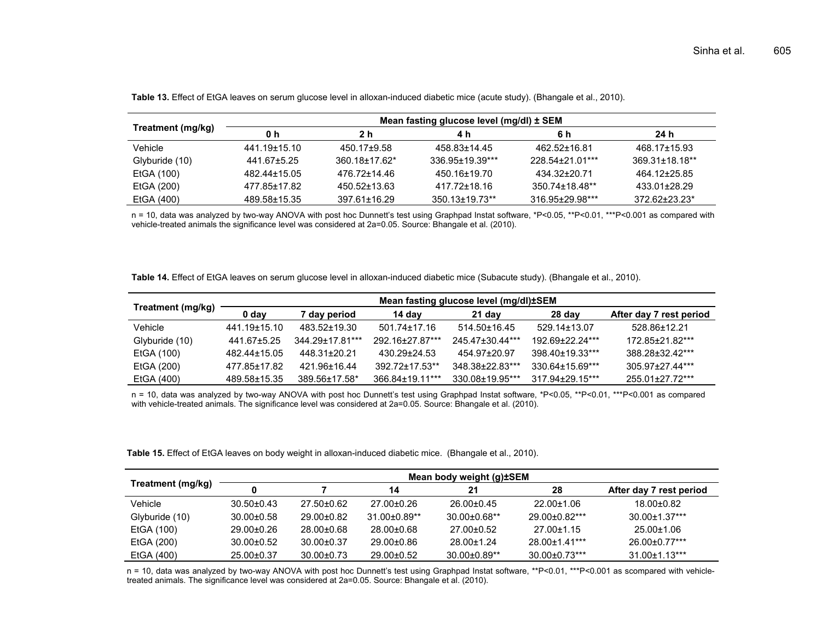|                   | Mean fasting glucose level (mg/dl) ± SEM |                    |                                  |                 |                    |  |  |  |
|-------------------|------------------------------------------|--------------------|----------------------------------|-----------------|--------------------|--|--|--|
| Treatment (mg/kg) | 0 h                                      | 2 h                | 4 h                              | 6 h             | 24 h               |  |  |  |
| Vehicle           | 441.19±15.10                             | 450.17±9.58        | 458.83±14.45                     | 462.52+16.81    | 468.17±15.93       |  |  |  |
| Glyburide (10)    | 441.67±5.25                              | $360.18 + 17.62*$  | 336.95+19.39***                  | 228.54+21.01*** | $369.31 + 18.18**$ |  |  |  |
| EtGA (100)        | 482.44±15.05                             | 476.72+14.46       | 450.16±19.70                     | 434.32+20.71    | 464.12±25.85       |  |  |  |
| EtGA (200)        | 477.85±17.82                             | 450.52+13.63       | 417.72±18.16                     | 350.74±18.48**  | 433.01±28.29       |  |  |  |
| EtGA (400)        | 489.58±15.35                             | $397.61 \pm 16.29$ | $350.13 \pm 19.73$ <sup>**</sup> | 316.95±29.98*** | $372.62 + 23.23*$  |  |  |  |

**Table 13.** Effect of EtGA leaves on serum glucose level in alloxan-induced diabetic mice (acute study). (Bhangale et al., 2010).

n = 10, data was analyzed by two-way ANOVA with post hoc Dunnett's test using Graphpad Instat software, \*P<0.05, \*\*P<0.01, \*\*\*P<0.001 as compared with vehicle-treated animals the significance level was considered at 2a=0.05. Source: Bhangale et al. (2010).

**Table 14.** Effect of EtGA leaves on serum glucose level in alloxan-induced diabetic mice (Subacute study). (Bhangale et al., 2010).

|                   | Mean fasting glucose level (mg/dl)±SEM |                 |                    |                  |                 |                         |  |  |
|-------------------|----------------------------------------|-----------------|--------------------|------------------|-----------------|-------------------------|--|--|
| Treatment (mg/kg) | 0 day                                  | 7 day period    | 14 day             | 21 day           | $28$ day        | After day 7 rest period |  |  |
| Vehicle           | 441.19±15.10                           | 483.52+19.30    | $501.74 \pm 17.16$ | $514.50\pm16.45$ | 529.14±13.07    | 528.86+12.21            |  |  |
| Glyburide (10)    | 441.67±5.25                            | 344.29±17.81*** | 292.16±27.87***    | 245.47±30.44***  | 192.69+22.24*** | 172.85±21.82***         |  |  |
| EtGA (100)        | 482.44±15.05                           | 448.31±20.21    | 430.29+24.53       | 454.97+20.97     | 398 40+19 33*** | 388.28+32.42***         |  |  |
| EtGA (200)        | 477.85±17.82                           | 421.96+16.44    | 392.72±17.53**     | 348.38±22.83***  | 330.64±15.69*** | 305.97+27.44***         |  |  |
| EtGA (400)        | 489.58±15.35                           | 389.56±17.58*   | 366.84±19.11***    | 330.08±19.95***  | 317.94±29.15*** | 255.01±27.72***         |  |  |

n = 10, data was analyzed by two-way ANOVA with post hoc Dunnett's test using Graphpad Instat software, \*P<0.05, \*\*P<0.01, \*\*\*P<0.001 as compared with vehicle-treated animals. The significance level was considered at 2a=0.05. Source: Bhangale et al. (2010).

**Table 15.** Effect of EtGA leaves on body weight in alloxan-induced diabetic mice. (Bhangale et al., 2010).

|                   | Mean body weight (g) <b>SEM</b> |                  |                    |                     |                      |                         |  |  |
|-------------------|---------------------------------|------------------|--------------------|---------------------|----------------------|-------------------------|--|--|
| Treatment (mg/kg) | O                               |                  | 14                 | 21                  | 28                   | After day 7 rest period |  |  |
| Vehicle           | $30.50 \pm 0.43$                | $27.50 \pm 0.62$ | 27.00±0.26         | 26.00±0.45          | $22.00 \pm 1.06$     | 18.00±0.82              |  |  |
| Glyburide (10)    | $30.00 \pm 0.58$                | $29.00 \pm 0.82$ | $31.00 \pm 0.89**$ | $30.00 \pm 0.68$ ** | 29.00±0.82***        | 30.00±1.37***           |  |  |
| EtGA (100)        | $29.00 \pm 0.26$                | 28.00±0.68       | 28.00±0.68         | 27.00±0.52          | $27.00 \pm 1.15$     | $25.00 \pm 1.06$        |  |  |
| EtGA (200)        | $30.00 \pm 0.52$                | $30.00 \pm 0.37$ | 29.00±0.86         | 28.00±1.24          | 28.00±1.41***        | 26.00±0.77***           |  |  |
| EtGA (400)        | 25.00±0.37                      | $30.00 \pm 0.73$ | 29.00±0.52         | $30.00 \pm 0.89$ ** | $30.00 \pm 0.73$ *** | 31.00±1.13***           |  |  |

n = 10, data was analyzed by two-way ANOVA with post hoc Dunnett's test using Graphpad Instat software, \*\*P<0.01, \*\*\*P<0.001 as scompared with vehicletreated animals. The significance level was considered at 2a=0.05. Source: Bhangale et al. (2010).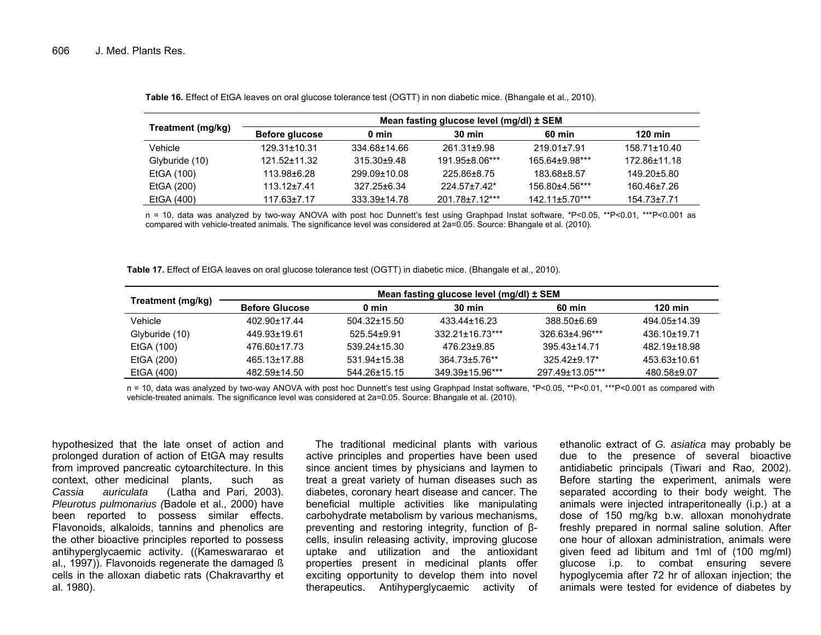|                   | Mean fasting glucose level (mg/dl) ± SEM |                 |                  |                       |                    |  |  |  |  |
|-------------------|------------------------------------------|-----------------|------------------|-----------------------|--------------------|--|--|--|--|
| Treatment (mg/kg) | Before glucose                           | 0 min           | $30 \text{ min}$ | 60 min                | <b>120 min</b>     |  |  |  |  |
| Vehicle           | $129.31 \pm 10.31$                       | 334.68±14.66    | 261.31±9.98      | $219.01 \pm 7.91$     | $158.71 \pm 10.40$ |  |  |  |  |
| Glyburide (10)    | 121.52±11.32                             | $315.30 + 9.48$ | 191.95±8.06***   | 165.64±9.98***        | 172.86±11.18       |  |  |  |  |
| EtGA (100)        | 113.98±6.28                              | 299.09±10.08    | 225.86±8.75      | 183.68±8.57           | 149.20±5.80        |  |  |  |  |
| EtGA (200)        | $113.12 \pm 7.41$                        | 327.25±6.34     | $224.57+7.42*$   | 156.80±4.56***        | 160.46±7.26        |  |  |  |  |
| EtGA (400)        | $117.63 \pm 7.17$                        | 333.39±14.78    | 201.78±7.12***   | $142.11 \pm 5.70$ *** | $154.73 \pm 7.71$  |  |  |  |  |

**Table 16.** Effect of EtGA leaves on oral glucose tolerance test (OGTT) in non diabetic mice. (Bhangale et al., 2010).

n = 10, data was analyzed by two-way ANOVA with post hoc Dunnett's test using Graphpad Instat software, \*P<0.05, \*\*P<0.01, \*\*\*P<0.001 as compared with vehicle-treated animals. The significance level was considered at 2a=0.05. Source: Bhangale et al. (2010).

**Table 17.** Effect of EtGA leaves on oral glucose tolerance test (OGTT) in diabetic mice. (Bhangale et al., 2010).

|                   | Mean fasting glucose level (mg/dl) ± SEM |                    |                     |                 |              |  |  |  |
|-------------------|------------------------------------------|--------------------|---------------------|-----------------|--------------|--|--|--|
| Treatment (mg/kg) | <b>Before Glucose</b>                    | 0 min              | $30 \text{ min}$    | 60 min          | $120$ min    |  |  |  |
| Vehicle           | 402.90±17.44                             | $504.32 \pm 15.50$ | 433.44±16.23        | 388.50±6.69     | 494.05±14.39 |  |  |  |
| Glyburide (10)    | 449.93±19.61                             | 525.54+9.91        | $332.21 + 16.73***$ | 326.63±4.96***  | 436.10+19.71 |  |  |  |
| EtGA (100)        | 476.60±17.73                             | 539 24 + 15.30     | 476.23±9.85         | 395 43 + 14 71  | 482.19±18.98 |  |  |  |
| EtGA (200)        | 465.13±17.88                             | 531.94±15.38       | 364.73±5.76**       | $325.42 + 9.17$ | 453.63±10.61 |  |  |  |
| EtGA (400)        | 482.59±14.50                             | 544.26±15.15       | 349.39±15.96***     | 297.49±13.05*** | 480.58±9.07  |  |  |  |

n = 10, data was analyzed by two-way ANOVA with post hoc Dunnett's test using Graphpad Instat software, \*P<0.05, \*\*P<0.01, \*\*\*P<0.001 as compared with vehicle-treated animals. The significance level was considered at 2a=0.05. Source: Bhangale et al. (2010).

hypothesized that the late onset of action and prolonged duration of action of EtGA may results from improved pancreatic cytoarchitecture. In this context, other medicinal plants, such as *Cassia auriculata* (Latha and Pari, 2003). *Pleurotus pulmonarius (*Badole et al., 2000) have been reported to possess similar effects. Flavonoids, alkaloids, tannins and phenolics are the other bioactive principles reported to possess antihyperglycaemic activity. ((Kameswararao et al., 1997)). Flavonoids regenerate the damaged ß cells in the alloxan diabetic rats (Chakravarthy et al. 1980).

The traditional medicinal plants with various active principles and properties have been used since ancient times by physicians and laymen to treat a great variety of human diseases such as diabetes, coronary heart disease and cancer. The beneficial multiple activities like manipulating carbohydrate metabolism by various mechanisms, preventing and restoring integrity, function of βcells, insulin releasing activity, improving glucose uptake and utilization and the antioxidant properties present in medicinal plants offer exciting opportunity to develop them into novel therapeutics. Antihyperglycaemic activity of

ethanolic extract of *G. asiatica* may probably be due to the presence of several bioactive antidiabetic principals (Tiwari and Rao, 2002). Before starting the experiment, animals were separated according to their body weight. The animals were injected intraperitoneally (i.p.) at a dose of 150 mg/kg b.w. alloxan monohydrate freshly prepared in normal saline solution. After one hour of alloxan administration, animals were given feed ad libitum and 1ml of (100 mg/ml) glucose i.p. to combat ensuring severe hypoglycemia after 72 hr of alloxan injection; the animals were tested for evidence of diabetes by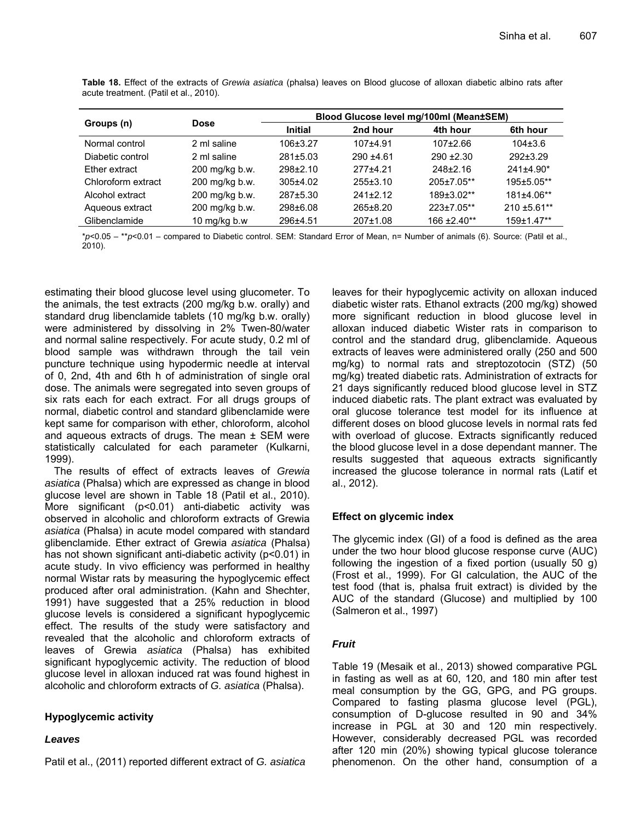|                    |                | Blood Glucose level mg/100ml (Mean±SEM) |                |                |                |  |  |
|--------------------|----------------|-----------------------------------------|----------------|----------------|----------------|--|--|
| Groups (n)         | <b>Dose</b>    | <b>Initial</b>                          | 2nd hour       | 4th hour       | 6th hour       |  |  |
| Normal control     | 2 ml saline    | $106 \pm 3.27$                          | $107+4.91$     | $107+2.66$     | $104\pm3.6$    |  |  |
| Diabetic control   | 2 ml saline    | 281±5.03                                | $290 + 4.61$   | $290 + 2.30$   | $292 \pm 3.29$ |  |  |
| Ether extract      | 200 mg/kg b.w. | $298+2.10$                              | $277+4.21$     | $248 \pm 2.16$ | $241\pm4.90*$  |  |  |
| Chloroform extract | 200 mg/kg b.w. | $305+4.02$                              | $255 \pm 3.10$ | 205±7.05**     | 195±5.05**     |  |  |
| Alcohol extract    | 200 mg/kg b.w. | 287±5.30                                | $241+2.12$     | 189±3.02**     | 181±4.06**     |  |  |
| Aqueous extract    | 200 mg/kg b.w. | 298±6.08                                | 265±8.20       | 223±7.05**     | $210 + 5.61**$ |  |  |
| Glibenclamide      | 10 mg/kg b.w   | 296±4.51                                | $207 \pm 1.08$ | 166 ± 2.40**   | 159±1.47**     |  |  |

**Table 18.** Effect of the extracts of *Grewia asiatica* (phalsa) leaves on Blood glucose of alloxan diabetic albino rats after acute treatment. (Patil et al., 2010).

\**p*<0.05 – \*\**p*<0.01 – compared to Diabetic control. SEM: Standard Error of Mean, n= Number of animals (6). Source: (Patil et al., 2010).

estimating their blood glucose level using glucometer. To the animals, the test extracts (200 mg/kg b.w. orally) and standard drug libenclamide tablets (10 mg/kg b.w. orally) were administered by dissolving in 2% Twen-80/water and normal saline respectively. For acute study, 0.2 ml of blood sample was withdrawn through the tail vein puncture technique using hypodermic needle at interval of 0, 2nd, 4th and 6th h of administration of single oral dose. The animals were segregated into seven groups of six rats each for each extract. For all drugs groups of normal, diabetic control and standard glibenclamide were kept same for comparison with ether, chloroform, alcohol and aqueous extracts of drugs. The mean  $\pm$  SEM were statistically calculated for each parameter (Kulkarni, 1999).

The results of effect of extracts leaves of *Grewia asiatica* (Phalsa) which are expressed as change in blood glucose level are shown in Table 18 (Patil et al., 2010). More significant (p<0.01) anti-diabetic activity was observed in alcoholic and chloroform extracts of Grewia *asiatica* (Phalsa) in acute model compared with standard glibenclamide. Ether extract of Grewia *asiatica* (Phalsa) has not shown significant anti-diabetic activity (p<0.01) in acute study. In vivo efficiency was performed in healthy normal Wistar rats by measuring the hypoglycemic effect produced after oral administration. (Kahn and Shechter, 1991) have suggested that a 25% reduction in blood glucose levels is considered a significant hypoglycemic effect. The results of the study were satisfactory and revealed that the alcoholic and chloroform extracts of leaves of Grewia *asiatica* (Phalsa) has exhibited significant hypoglycemic activity. The reduction of blood glucose level in alloxan induced rat was found highest in alcoholic and chloroform extracts of *G. asiatica* (Phalsa).

# **Hypoglycemic activity**

# *Leaves*

Patil et al., (2011) reported different extract of *G. asiatica*

leaves for their hypoglycemic activity on alloxan induced diabetic wister rats. Ethanol extracts (200 mg/kg) showed more significant reduction in blood glucose level in alloxan induced diabetic Wister rats in comparison to control and the standard drug, glibenclamide. Aqueous extracts of leaves were administered orally (250 and 500 mg/kg) to normal rats and streptozotocin (STZ) (50 mg/kg) treated diabetic rats. Administration of extracts for 21 days significantly reduced blood glucose level in STZ induced diabetic rats. The plant extract was evaluated by oral glucose tolerance test model for its influence at different doses on blood glucose levels in normal rats fed with overload of glucose. Extracts significantly reduced the blood glucose level in a dose dependant manner. The results suggested that aqueous extracts significantly increased the glucose tolerance in normal rats (Latif et al., 2012).

# **Effect on glycemic index**

The glycemic index (GI) of a food is defined as the area under the two hour blood glucose response curve (AUC) following the ingestion of a fixed portion (usually 50 g) (Frost et al., 1999). For GI calculation, the AUC of the test food (that is, phalsa fruit extract) is divided by the AUC of the standard (Glucose) and multiplied by 100 (Salmeron et al., 1997)

# *Fruit*

Table 19 (Mesaik et al., 2013) showed comparative PGL in fasting as well as at 60, 120, and 180 min after test meal consumption by the GG, GPG, and PG groups. Compared to fasting plasma glucose level (PGL), consumption of D-glucose resulted in 90 and 34% increase in PGL at 30 and 120 min respectively. However, considerably decreased PGL was recorded after 120 min (20%) showing typical glucose tolerance phenomenon. On the other hand, consumption of a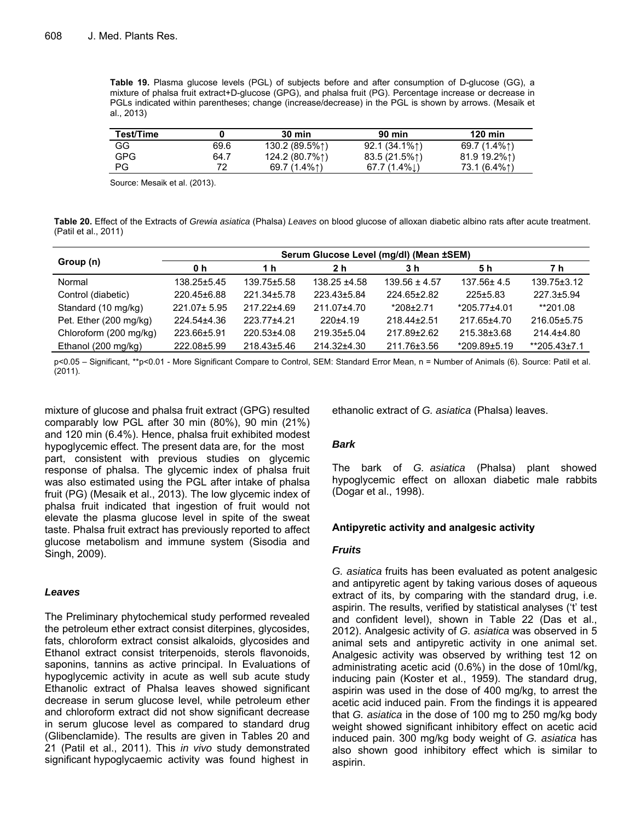**Table 19.** Plasma glucose levels (PGL) of subjects before and after consumption of D-glucose (GG), a mixture of phalsa fruit extract+D-glucose (GPG), and phalsa fruit (PG). Percentage increase or decrease in PGLs indicated within parentheses; change (increase/decrease) in the PGL is shown by arrows. (Mesaik et al., 2013)

| Test/Time  |      | $30 \text{ min}$ | 90 min          | $120$ min    |
|------------|------|------------------|-----------------|--------------|
| GG         | 69.6 | 130.2 (89.5%1)   | $92.1(34.1\%)$  | 69.7 (1.4%1) |
| <b>GPG</b> | 64.7 | 124.2 (80.7%1)   | 83.5 (21.5%1)   | 81.9 19.2%1) |
| <b>PG</b>  | 72   | 69.7 (1.4%1)     | 67.7 $(1.4\%$ . | 73.1 (6.4%↑) |

Source: Mesaik et al. (2013).

**Table 20.** Effect of the Extracts of *Grewia asiatica* (Phalsa) *Leaves* on blood glucose of alloxan diabetic albino rats after acute treatment. (Patil et al., 2011)

|                        | Serum Glucose Level (mg/dl) (Mean ±SEM) |             |                 |                   |                    |                   |  |  |  |
|------------------------|-----------------------------------------|-------------|-----------------|-------------------|--------------------|-------------------|--|--|--|
| Group (n)              | 0 h                                     | 1 h         | 2 h             | 3 h               | 5 h                | 7 h               |  |  |  |
| Normal                 | 138.25±5.45                             | 139.75±5.58 | 138.25 ±4.58    | $139.56 \pm 4.57$ | $137.56 \pm 4.5$   | $139.75 \pm 3.12$ |  |  |  |
| Control (diabetic)     | 220.45±6.88                             | 221.34±5.78 | 223.43±5.84     | 224.65±2.82       | $225 \pm 5.83$     | 227.3±5.94        |  |  |  |
| Standard (10 mg/kg)    | $221.07 \pm 5.95$                       | 217.22±4.69 | $211.07 + 4.70$ | $*208+2.71$       | $*205.77 \pm 4.01$ | **201.08          |  |  |  |
| Pet. Ether (200 mg/kg) | 224.54±4.36                             | 223.77+4.21 | $220+4.19$      | 218 44 + 2.51     | 217.65+4.70        | 216.05±5.75       |  |  |  |
| Chloroform (200 mg/kg) | 223.66±5.91                             | 220.53±4.08 | 219.35±5.04     | 217.89+2.62       | 215.38±3.68        | $214.4 + 4.80$    |  |  |  |
| Ethanol (200 mg/kg)    | 222.08±5.99                             | 218.43±5.46 | 214.32±4.30     | 211.76±3.56       | *209.89±5.19       | **205.43±7.1      |  |  |  |

p<0.05 – Significant, \*\*p<0.01 - More Significant Compare to Control, SEM: Standard Error Mean, n = Number of Animals (6). Source: Patil et al. (2011).

mixture of glucose and phalsa fruit extract (GPG) resulted comparably low PGL after 30 min (80%), 90 min (21%) and 120 min (6.4%). Hence, phalsa fruit exhibited modest hypoglycemic effect. The present data are, for the most part, consistent with previous studies on glycemic response of phalsa. The glycemic index of phalsa fruit was also estimated using the PGL after intake of phalsa fruit (PG) (Mesaik et al., 2013). The low glycemic index of phalsa fruit indicated that ingestion of fruit would not elevate the plasma glucose level in spite of the sweat taste. Phalsa fruit extract has previously reported to affect glucose metabolism and immune system (Sisodia and Singh, 2009).

#### *Leaves*

The Preliminary phytochemical study performed revealed the petroleum ether extract consist diterpines, glycosides, fats, chloroform extract consist alkaloids, glycosides and Ethanol extract consist triterpenoids, sterols flavonoids, saponins, tannins as active principal. In Evaluations of hypoglycemic activity in acute as well sub acute study Ethanolic extract of Phalsa leaves showed significant decrease in serum glucose level, while petroleum ether and chloroform extract did not show significant decrease in serum glucose level as compared to standard drug (Glibenclamide). The results are given in Tables 20 and 21 (Patil et al., 2011). This *in vivo* study demonstrated significant hypoglycaemic activity was found highest in

ethanolic extract of *G. asiatica* (Phalsa) leaves.

# *Bark*

The bark of *G. asiatica* (Phalsa) plant showed hypoglycemic effect on alloxan diabetic male rabbits (Dogar et al., 1998).

# **Antipyretic activity and analgesic activity**

#### *Fruits*

*G. asiatica* fruits has been evaluated as potent analgesic and antipyretic agent by taking various doses of aqueous extract of its, by comparing with the standard drug, i.e. aspirin. The results, verified by statistical analyses ('t' test and confident level), shown in Table 22 (Das et al., 2012). Analgesic activity of *G. asiatica* was observed in 5 animal sets and antipyretic activity in one animal set. Analgesic activity was observed by writhing test 12 on administrating acetic acid (0.6%) in the dose of 10ml/kg, inducing pain (Koster et al., 1959). The standard drug, aspirin was used in the dose of 400 mg/kg, to arrest the acetic acid induced pain. From the findings it is appeared that *G. asiatica* in the dose of 100 mg to 250 mg/kg body weight showed significant inhibitory effect on acetic acid induced pain. 300 mg/kg body weight of *G. asiatica* has also shown good inhibitory effect which is similar to aspirin.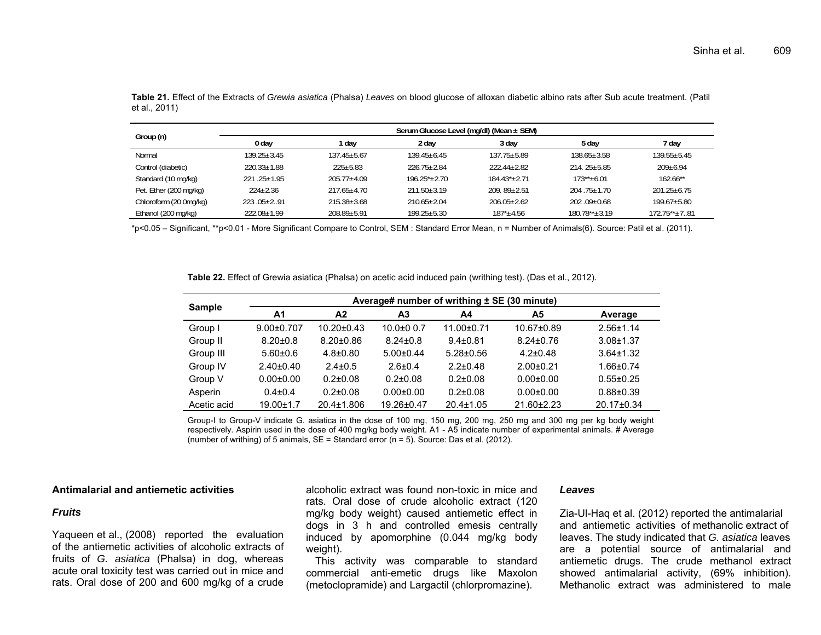|                        | Serum Glucose Level (mg/dl) (Mean ± SEM) |                   |                   |                   |                     |                     |  |  |
|------------------------|------------------------------------------|-------------------|-------------------|-------------------|---------------------|---------------------|--|--|
| Group (n)              | 0 day                                    | day               | 2 day             | 3 day             | 5 day               | 7 day               |  |  |
| Normal                 | $139.25 + 3.45$                          | $137.45 + 5.67$   | $139.45 + 6.45$   | $137.75 + 5.89$   | $138.65 \pm 3.58$   | $139.55 + 5.45$     |  |  |
| Control (diabetic)     | $220.33 \pm 1.88$                        | $225 \pm 5.83$    | $226.75 + 2.84$   | $222.44 + 2.82$   | $214.25 \pm 5.85$   | $209 \pm 6.94$      |  |  |
| Standard (10 mg/kg)    | $221.25+1.95$                            | $205.77 + 4.09$   | $196.25^* + 2.70$ | $184.43^* + 2.71$ | $173***+6.01$       | $162.66**$          |  |  |
| Pet. Ether (200 mg/kg) | $224 + 2.36$                             | $217.65 + 4.70$   | $211.50 + 3.19$   | $209.89 + 2.51$   | $204.75 + 1.70$     | $201.25 \pm 6.75$   |  |  |
| Chloroform (20 0mg/kg) | $223.05+2.91$                            | $215.38 + 3.68$   | $210.65 + 2.04$   | $206.05 + 2.62$   | $202.09 + 0.68$     | $199.67 + 5.80$     |  |  |
| Ethanol (200 mg/kg)    | $222.08 \pm 1.99$                        | $208.89 \pm 5.91$ | $199.25 \pm 5.30$ | $187^*$ ± 4.56    | $180.78** \pm 3.19$ | $172.75** \pm 7.81$ |  |  |

**Table 21.** Effect of the Extracts of *Grewia asiatica* (Phalsa) *Leaves* on blood glucose of alloxan diabetic albino rats after Sub acute treatment. (Patil et al., 2011)

\*p<0.05 – Significant, \*\*p<0.01 - More Significant Compare to Control, SEM : Standard Error Mean, n = Number of Animals(6). Source: Patil et al. (2011).

**Table 22.** Effect of Grewia asiatica (Phalsa) on acetic acid induced pain (writhing test). (Das et al., 2012).

|               | Average# number of writhing ± SE (30 minute) |                  |                  |                 |                  |                 |  |  |
|---------------|----------------------------------------------|------------------|------------------|-----------------|------------------|-----------------|--|--|
| <b>Sample</b> | A1                                           | A2               | А3               | A4              | Α5               | Average         |  |  |
| Group I       | $9.00 \pm 0.707$                             | $10.20 \pm 0.43$ | $10.0 + 0.0 - 7$ | $11.00 + 0.71$  | 10.67±0.89       | $2.56 \pm 1.14$ |  |  |
| Group II      | $8.20 \pm 0.8$                               | $8.20 \pm 0.86$  | $8.24 \pm 0.8$   | $9.4 \pm 0.81$  | $8.24 \pm 0.76$  | $3.08 + 1.37$   |  |  |
| Group III     | $5.60 \pm 0.6$                               | $4.8 \pm 0.80$   | $5.00+0.44$      | $5.28 \pm 0.56$ | $4.2 \pm 0.48$   | $3.64 \pm 1.32$ |  |  |
| Group IV      | $2.40\pm0.40$                                | $2.4 \pm 0.5$    | $2.6 \pm 0.4$    | $2.2 \pm 0.48$  | $2.00 + 0.21$    | $1.66 \pm 0.74$ |  |  |
| Group V       | $0.00 \pm 0.00$                              | $0.2 \pm 0.08$   | $0.2 \pm 0.08$   | $0.2 \pm 0.08$  | $0.00 + 0.00$    | $0.55 \pm 0.25$ |  |  |
| Asperin       | $0.4 \pm 0.4$                                | $0.2{\pm}0.08$   | $0.00 + 0.00$    | $0.2 \pm 0.08$  | $0.00 + 0.00$    | $0.88 + 0.39$   |  |  |
| Acetic acid   | $19.00 \pm 1.7$                              | 20.4±1.806       | 19.26±0.47       | $20.4 \pm 1.05$ | $21.60 \pm 2.23$ | 20.17±0.34      |  |  |

Group-I to Group-V indicate G. asiatica in the dose of 100 mg, 150 mg, 200 mg, 250 mg and 300 mg per kg body weight respectively. Aspirin used in the dose of 400 mg/kg body weight. A1 - A5 indicate number of experimental animals. # Average (number of writhing) of 5 animals,  $SE = Standard$  error ( $n = 5$ ). Source: Das et al. (2012).

#### **Antimalarial and antiemetic activities**

#### *Fruits*

Yaqueen et al., (2008) reported the evaluation of the antiemetic activities of alcoholic extracts of fruits of *G. asiatica* (Phalsa) in dog, whereas acute oral toxicity test was carried out in mice and rats. Oral dose of 200 and 600 mg/kg of a crude

alcoholic extract was found non-toxic in mice and rats. Oral dose of crude alcoholic extract (120 mg/kg body weight) caused antiemetic effect in dogs in 3 h and controlled emesis centrally induced by apomorphine (0.044 mg/kg body weight).

This activity was comparable to standard commercial anti-emetic drugs like Maxolon (metoclopramide) and Largactil (chlorpromazine).

#### *Leaves*

Zia-Ul-Haq et al. (2012) reported the antimalarial and antiemetic activities of methanolic extract of leaves. The study indicated that *G. asiatica* leaves are a potential source of antimalarial and antiemetic drugs. The crude methanol extract showed antimalarial activity, (69% inhibition). Methanolic extract was administered to male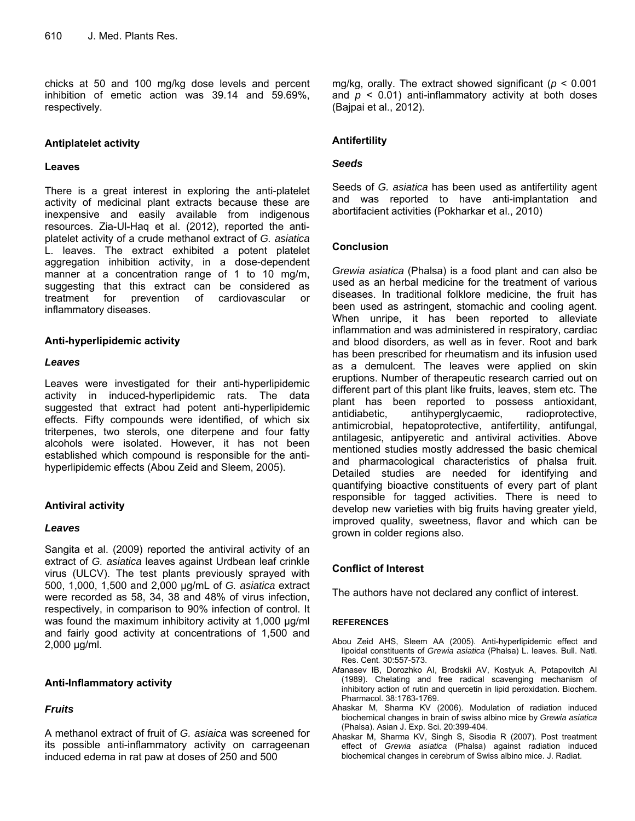chicks at 50 and 100 mg/kg dose levels and percent inhibition of emetic action was 39.14 and 59.69%, respectively.

# **Antiplatelet activity**

#### **Leaves**

There is a great interest in exploring the anti-platelet activity of medicinal plant extracts because these are inexpensive and easily available from indigenous resources. Zia-Ul-Haq et al. (2012), reported the antiplatelet activity of a crude methanol extract of *G. asiatica* L. leaves. The extract exhibited a potent platelet aggregation inhibition activity, in a dose-dependent manner at a concentration range of 1 to 10 mg/m, suggesting that this extract can be considered as treatment for prevention of cardiovascular or inflammatory diseases.

# **Anti-hyperlipidemic activity**

# *Leaves*

Leaves were investigated for their anti-hyperlipidemic activity in induced-hyperlipidemic rats. The data suggested that extract had potent anti-hyperlipidemic effects. Fifty compounds were identified, of which six triterpenes, two sterols, one diterpene and four fatty alcohols were isolated. However, it has not been established which compound is responsible for the antihyperlipidemic effects (Abou Zeid and Sleem, 2005).

# **Antiviral activity**

# *Leaves*

Sangita et al. (2009) reported the antiviral activity of an extract of *G. asiatica* leaves against Urdbean leaf crinkle virus (ULCV). The test plants previously sprayed with 500, 1,000, 1,500 and 2,000 μg/mL of *G. asiatica* extract were recorded as 58, 34, 38 and 48% of virus infection, respectively, in comparison to 90% infection of control. It was found the maximum inhibitory activity at 1,000 μg/ml and fairly good activity at concentrations of 1,500 and 2,000 μg/ml.

# **Anti-Inflammatory activity**

# *Fruits*

A methanol extract of fruit of *G. asiaica* was screened for its possible anti-inflammatory activity on carrageenan induced edema in rat paw at doses of 250 and 500

mg/kg, orally. The extract showed significant (*p* < 0.001 and  $p \leq 0.01$ ) anti-inflammatory activity at both doses (Bajpai et al., 2012).

# **Antifertility**

# *Seeds*

Seeds of *G. asiatica* has been used as antifertility agent and was reported to have anti-implantation and abortifacient activities (Pokharkar et al., 2010)

# **Conclusion**

*Grewia asiatica* (Phalsa) is a food plant and can also be used as an herbal medicine for the treatment of various diseases. In traditional folklore medicine, the fruit has been used as astringent, stomachic and cooling agent. When unripe, it has been reported to alleviate inflammation and was administered in respiratory, cardiac and blood disorders, as well as in fever. Root and bark has been prescribed for rheumatism and its infusion used as a demulcent. The leaves were applied on skin eruptions. Number of therapeutic research carried out on different part of this plant like fruits, leaves, stem etc. The plant has been reported to possess antioxidant, antidiabetic, antihyperglycaemic, radioprotective, antimicrobial, hepatoprotective, antifertility, antifungal, antilagesic, antipyeretic and antiviral activities. Above mentioned studies mostly addressed the basic chemical and pharmacological characteristics of phalsa fruit. Detailed studies are needed for identifying and quantifying bioactive constituents of every part of plant responsible for tagged activities. There is need to develop new varieties with big fruits having greater yield, improved quality, sweetness, flavor and which can be grown in colder regions also.

# **Conflict of Interest**

The authors have not declared any conflict of interest.

#### **REFERENCES**

- Abou Zeid AHS, Sleem AA (2005). Anti-hyperlipidemic effect and lipoidal constituents of *Grewia asiatica* (Phalsa) L. leaves. Bull. Natl. Res. Cent*.* 30:557-573.
- Afanasev IB, Dorozhko AI, Brodskii AV, Kostyuk A, Potapovitch AI (1989). Chelating and free radical scavenging mechanism of inhibitory action of rutin and quercetin in lipid peroxidation. Biochem. Pharmacol. 38:1763-1769.
- Ahaskar M, Sharma KV (2006). Modulation of radiation induced biochemical changes in brain of swiss albino mice by *Grewia asiatica*  (Phalsa). Asian J. Exp. Sci. 20:399-404.
- Ahaskar M, Sharma KV, Singh S, Sisodia R (2007). Post treatment effect of *Grewia asiatica* (Phalsa) against radiation induced biochemical changes in cerebrum of Swiss albino mice. J. Radiat.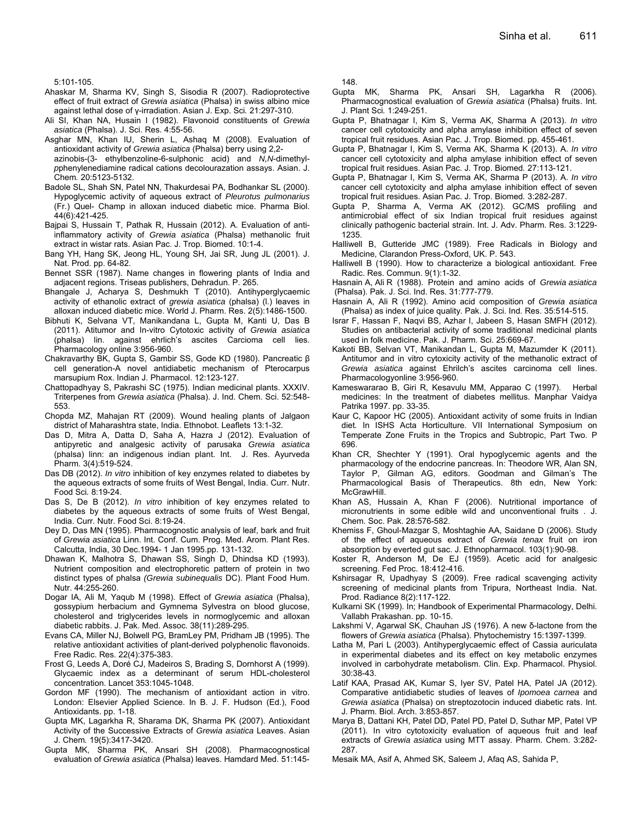5:101-105.

- Ahaskar M, Sharma KV, Singh S, Sisodia R (2007). Radioprotective effect of fruit extract of *Grewia asiatica* (Phalsa) in swiss albino mice against lethal dose of γ-irradiation. Asian J. Exp. Sci*.* 21:297-310.
- Ali SI, Khan NA, Husain I (1982). Flavonoid constituents of *Grewia asiatica* (Phalsa). J. Sci. Res. 4:55-56.
- Asghar MN, Khan IU, Sherin L, Ashaq M (2008). Evaluation of antioxidant activity of *Grewia asiatica* (Phalsa) berry using 2,2 azinobis-(3- ethylbenzoline-6-sulphonic acid) and *N,N*-dimethyl*p*phenylenediamine radical cations decolourazation assays. Asian. J. Chem*.* 20:5123-5132.
- Badole SL, Shah SN, Patel NN, Thakurdesai PA, Bodhankar SL (2000). Hypoglycemic activity of aqueous extract of *Pleurotus pulmonarius*  (Fr.) Quel- Champ in alloxan induced diabetic mice. Pharma Biol. 44(6):421-425.
- Bajpai S, Hussain T, Pathak R, Hussain (2012). A. Evaluation of antiinflammatory activity of *Grewia asiatica* (Phalsa) methanolic fruit extract in wistar rats. Asian Pac. J. Trop. Biomed. 10:1-4.
- Bang YH, Hang SK, Jeong HL, Young SH, Jai SR, Jung JL (2001). J. Nat. Prod. pp. 64-82.
- Bennet SSR (1987). Name changes in flowering plants of India and adjacent regions. Triseas publishers, Dehradun. P. 265.
- Bhangale J, Acharya S, Deshmukh T (2010). Antihyperglycaemic activity of ethanolic extract of *grewia asiatica* (phalsa) (l.) leaves in alloxan induced diabetic mice. World J. Pharm. Res. 2(5):1486-1500.
- Bibhuti K, Selvana VT, Manikandana L, Gupta M, Kanti U, Das B (2011). Atitumor and In-vitro Cytotoxic activity of *Grewia asiatica* (phalsa) lin. against ehrlich's ascites Carcioma cell lies. Pharmacology online 3:956-960.
- Chakravarthy BK, Gupta S, Gambir SS, Gode KD (1980). Pancreatic β cell generation-A novel antidiabetic mechanism of Pterocarpus marsupium Rox. Indian J. Pharmacol. 12:123-127.
- Chattopadhyay S, Pakrashi SC (1975). Indian medicinal plants. XXXIV. Triterpenes from *Grewia asiatica* (Phalsa). J. Ind. Chem. Sci. 52:548- 553.
- Chopda MZ, Mahajan RT (2009). Wound healing plants of Jalgaon district of Maharashtra state, India. Ethnobot. Leaflets 13:1-32.
- Das D, Mitra A, Datta D, Saha A, Hazra J (2012). Evaluation of antipyretic and analgesic activity of parusaka *Grewia asiatica* (phalsa) linn: an indigenous indian plant. Int. J. Res. Ayurveda Pharm. 3(4):519-524.
- Das DB (2012). *In vitro* inhibition of key enzymes related to diabetes by the aqueous extracts of some fruits of West Bengal, India. Curr. Nutr. Food Sci*.* 8:19-24.
- Das S, De B (2012). *In vitro* inhibition of key enzymes related to diabetes by the aqueous extracts of some fruits of West Bengal, India. Curr. Nutr. Food Sci. 8:19-24.
- Dey D, Das MN (1995). Pharmacognostic analysis of leaf, bark and fruit of *Grewia asiatica* Linn. Int. Conf. Cum. Prog. Med. Arom. Plant Res. Calcutta, India, 30 Dec.1994- 1 Jan 1995.pp. 131-132.
- Dhawan K, Malhotra S, Dhawan SS, Singh D, Dhindsa KD (1993). Nutrient composition and electrophoretic pattern of protein in two distinct types of phalsa *(Grewia subinequalis* DC). Plant Food Hum. Nutr. 44:255-260.
- Dogar IA, Ali M, Yaqub M (1998). Effect of *Grewia asiatica* (Phalsa), gossypium herbacium and Gymnema Sylvestra on blood glucose, cholesterol and triglycerides levels in normoglycemic and alloxan diabetic rabbits. J. Pak. Med. Assoc. 38(11):289-295.
- Evans CA, Miller NJ, Bolwell PG, BramLey PM, Pridham JB (1995). The relative antioxidant activities of plant-derived polyphenolic flavonoids. Free Radic. Res. 22(4):375-383.
- Frost G, Leeds A, Doré CJ, Madeiros S, Brading S, Dornhorst A (1999). Glycaemic index as a determinant of serum HDL-cholesterol concentration. Lancet 353:1045-1048.
- Gordon MF (1990). The mechanism of antioxidant action in vitro. London: Elsevier Applied Science. In B. J. F. Hudson (Ed.), Food Antioxidants. pp. 1-18.
- Gupta MK, Lagarkha R, Sharama DK, Sharma PK (2007). Antioxidant Activity of the Successive Extracts of *Grewia asiatica* Leaves. Asian J. Chem*.* 19(5):3417-3420.
- Gupta MK, Sharma PK, Ansari SH (2008). Pharmacognostical evaluation of *Grewia asiatica* (Phalsa) leaves. Hamdard Med. 51:145-

148.

- Gupta MK, Sharma PK, Ansari SH, Lagarkha R (2006). Pharmacognostical evaluation of *Grewia asiatica* (Phalsa) fruits. Int. J. Plant Sci*.* 1:249-251.
- Gupta P, Bhatnagar I, Kim S, Verma AK, Sharma A (2013). *In vitro*  cancer cell cytotoxicity and alpha amylase inhibition effect of seven tropical fruit residues. Asian Pac. J. Trop. Biomed. pp. 455-461.
- Gupta P, Bhatnagar I, Kim S, Verma AK, Sharma K (2013). A. *In vitro* cancer cell cytotoxicity and alpha amylase inhibition effect of seven tropical fruit residues. Asian Pac. J. Trop. Biomed*.* 27:113-121.
- Gupta P, Bhatnagar I, Kim S, Verma AK, Sharma P (2013). A. *In vitro* cancer cell cytotoxicity and alpha amylase inhibition effect of seven tropical fruit residues. Asian Pac. J. Trop. Biomed*.* 3:282-287.
- Gupta P, Sharma A, Verma AK (2012). GC/MS profiling and antimicrobial effect of six Indian tropical fruit residues against clinically pathogenic bacterial strain. Int. J. Adv. Pharm. Res. 3:1229- 1235.
- Halliwell B, Gutteride JMC (1989). Free Radicals in Biology and Medicine, Clarandon Press-Oxford, UK. P. 543.
- Halliwell B (1990). How to characterize a biological antioxidant. Free Radic. Res. Commun. 9(1):1-32.
- Hasnain A, Ali R (1988). Protein and amino acids of *Grewia asiatica* (Phalsa). Pak. J. Sci. Ind. Res. 31:777-779.
- Hasnain A, Ali R (1992). Amino acid composition of *Grewia asiatica*  (Phalsa) as index of juice quality. Pak. J. Sci. Ind. Res. 35:514-515.
- Israr F, Hassan F, Naqvi BS, Azhar I, Jabeen S, Hasan SMFH (2012). Studies on antibacterial activity of some traditional medicinal plants used in folk medicine. Pak. J. Pharm. Sci. 25:669-67.
- Kakoti BB, Selvan VT, Manikandan L, Gupta M, Mazumder K (2011). Antitumor and in vitro cytoxicity activity of the methanolic extract of *Grewia asiatica* against Ehrilch's ascites carcinoma cell lines. Pharmacologyonline 3:956-960.
- Kameswararao B, Giri R, Kesavulu MM, Apparao C (1997). Herbal medicines: In the treatment of diabetes mellitus. Manphar Vaidya Patrika 1997. pp. 33-35.
- Kaur C, Kapoor HC (2005). Antioxidant activity of some fruits in Indian diet*.* In ISHS Acta Horticulture. VII International Symposium on Temperate Zone Fruits in the Tropics and Subtropic, Part Two. P 696.
- Khan CR, Shechter Y (1991). Oral hypoglycemic agents and the pharmacology of the endocrine pancreas. In: Theodore WR, Alan SN, Taylor P, Gilman AG, editors. Goodman and Gilman's The Pharmacological Basis of Therapeutics. 8th edn, New York: McGrawHill.
- Khan AS, Hussain A, Khan F (2006). Nutritional importance of micronutrients in some edible wild and unconventional fruits . J. Chem. Soc. Pak. 28:576-582.
- Khemiss F, Ghoul-Mazgar S, Moshtaghie AA, Saidane D (2006). Study of the effect of aqueous extract of *Grewia tenax* fruit on iron absorption by everted gut sac. J. Ethnopharmacol. 103(1):90-98.
- Koster R, Anderson M, De EJ (1959). Acetic acid for analgesic screening. Fed Proc. 18:412-416.
- Kshirsagar R, Upadhyay S (2009). Free radical scavenging activity screening of medicinal plants from Tripura, Northeast India. Nat. Prod. Radiance 8(2):117-122.
- Kulkarni SK (1999). In; Handbook of Experimental Pharmacology, Delhi. Vallabh Prakashan. pp. 10-15.
- Lakshmi V, Agarwal SK, Chauhan JS (1976). A new δ-lactone from the flowers of *Grewia asiatica* (Phalsa). Phytochemistry 15:1397-1399.
- Latha M, Pari L (2003). Antihyperglycaemic effect of Cassia auriculata in experimental diabetes and its effect on key metabolic enzymes involved in carbohydrate metabolism. Clin. Exp. Pharmacol. Physiol. 30:38-43.
- Latif KAA, Prasad AK, Kumar S, Iyer SV, Patel HA, Patel JA (2012). Comparative antidiabetic studies of leaves of *Ipomoea carnea* and *Grewia asiatica* (Phalsa) on streptozotocin induced diabetic rats. Int. J. Pharm. Biol. Arch. 3:853-857.
- Marya B, Dattani KH, Patel DD, Patel PD, Patel D, Suthar MP, Patel VP (2011). In vitro cytotoxicity evaluation of aqueous fruit and leaf extracts of *Grewia asiatica* using MTT assay. Pharm. Chem. 3:282- 287.
- Mesaik MA, Asif A, Ahmed SK, Saleem J, Afaq AS, Sahida P,